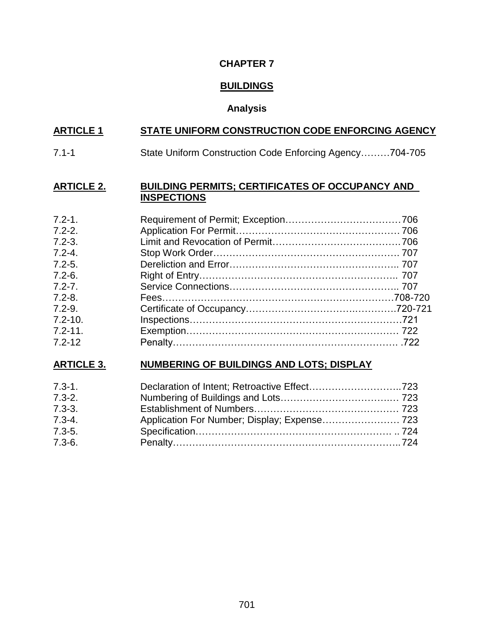## **CHAPTER 7**

# **BUILDINGS**

# **Analysis**

# **ARTICLE 1 STATE UNIFORM CONSTRUCTION CODE ENFORCING AGENCY**

7.1-1 State Uniform Construction Code Enforcing Agency………704-705

### **ARTICLE 2. BUILDING PERMITS; CERTIFICATES OF OCCUPANCY AND INSPECTIONS**

| $7.2 - 1.$  |  |
|-------------|--|
| $7.2 - 2.$  |  |
| $7.2 - 3.$  |  |
| $7.2 - 4.$  |  |
| $7.2 - 5.$  |  |
| $7.2 - 6.$  |  |
| $7.2 - 7.$  |  |
| $7.2 - 8.$  |  |
| $7.2 - 9.$  |  |
| $7.2 - 10.$ |  |
| $7.2 - 11.$ |  |
| $7.2 - 12$  |  |

# **ARTICLE 3. NUMBERING OF BUILDINGS AND LOTS; DISPLAY**

| $7.3 - 1.$ |                                              |  |
|------------|----------------------------------------------|--|
| $7.3 - 2.$ |                                              |  |
| $7.3 - 3.$ |                                              |  |
| $7.3 - 4.$ | Application For Number; Display; Expense 723 |  |
| $7.3 - 5.$ |                                              |  |
| $7.3 - 6.$ |                                              |  |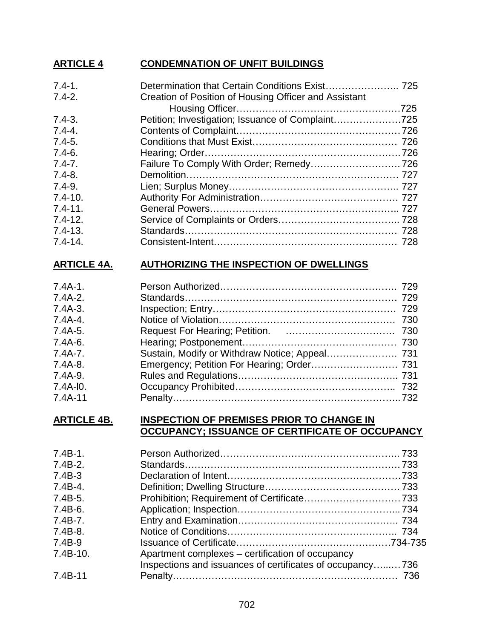# **ARTICLE 4 CONDEMNATION OF UNFIT BUILDINGS**

| Creation of Position of Housing Officer and Assistant |                                                   |
|-------------------------------------------------------|---------------------------------------------------|
|                                                       |                                                   |
|                                                       |                                                   |
|                                                       |                                                   |
|                                                       |                                                   |
|                                                       |                                                   |
|                                                       |                                                   |
|                                                       |                                                   |
|                                                       |                                                   |
|                                                       |                                                   |
|                                                       |                                                   |
|                                                       |                                                   |
|                                                       |                                                   |
|                                                       |                                                   |
|                                                       | Petition; Investigation; Issuance of Complaint725 |

# **ARTICLE 4A. AUTHORIZING THE INSPECTION OF DWELLINGS**

| $7.4A-1.$   |  |
|-------------|--|
| $7.4A-2.$   |  |
| $7.4A-3.$   |  |
| $7.4A-4.$   |  |
| $7.4A-5.$   |  |
| $7.4A-6.$   |  |
| $7.4A - 7.$ |  |
| $7.4A-8.$   |  |
| $7.4A-9.$   |  |
| $7.4A-10.$  |  |
| $7.4A-11$   |  |

#### **ARTICLE 4B. INSPECTION OF PREMISES PRIOR TO CHANGE IN OCCUPANCY; ISSUANCE OF CERTIFICATE OF OCCUPANCY**

| $7.4B-1.$  |                                                           |  |
|------------|-----------------------------------------------------------|--|
| $7.4B-2.$  |                                                           |  |
| $7.4B-3$   |                                                           |  |
| $7.4B-4.$  |                                                           |  |
| $7.4B-5.$  |                                                           |  |
| $7.4B-6.$  |                                                           |  |
| $7.4B-7.$  |                                                           |  |
| $7.4B-8.$  |                                                           |  |
| 7.4B-9     |                                                           |  |
| $7.4B-10.$ | Apartment complexes - certification of occupancy          |  |
|            | Inspections and issuances of certificates of occupancy736 |  |
| $7.4B-11$  |                                                           |  |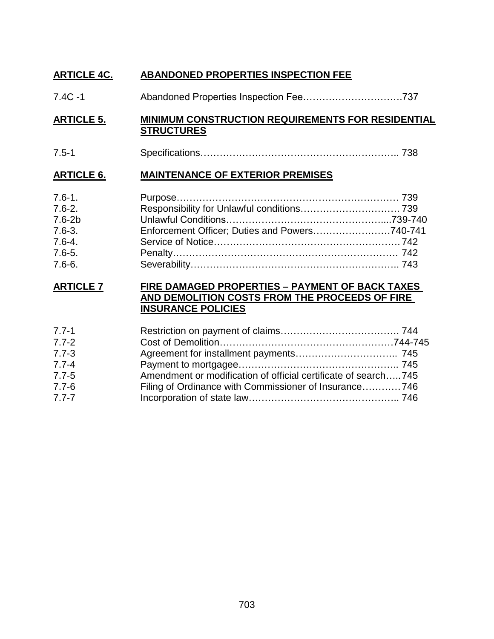# **ARTICLE 4C. ABANDONED PROPERTIES INSPECTION FEE**

7.4C -1 Abandoned Properties Inspection Fee………………………….737

## **ARTICLE 5. MINIMUM CONSTRUCTION REQUIREMENTS FOR RESIDENTIAL STRUCTURES**

7.5-1 Specifications…………………………………………………….. 738

## **ARTICLE 6. MAINTENANCE OF EXTERIOR PREMISES**

| $7.6 - 1.$ |  |
|------------|--|
| $7.6 - 2.$ |  |
| $7.6 - 2b$ |  |
| $7.6 - 3.$ |  |
| $7.6 - 4.$ |  |
| $7.6 - 5.$ |  |
| $7.6 - 6.$ |  |

## **ARTICLE 7 FIRE DAMAGED PROPERTIES – PAYMENT OF BACK TAXES AND DEMOLITION COSTS FROM THE PROCEEDS OF FIRE INSURANCE POLICIES**

| $7.7 - 1$ |                                                                |  |
|-----------|----------------------------------------------------------------|--|
| $7.7 - 2$ |                                                                |  |
| $7.7 - 3$ |                                                                |  |
| $7.7 - 4$ |                                                                |  |
| $7.7 - 5$ | Amendment or modification of official certificate of search745 |  |
| $7.7 - 6$ | Filing of Ordinance with Commissioner of Insurance746          |  |
| $7.7 - 7$ |                                                                |  |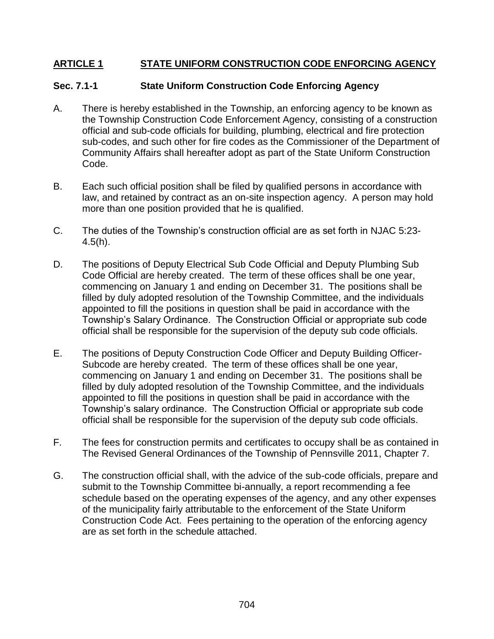# **ARTICLE 1 STATE UNIFORM CONSTRUCTION CODE ENFORCING AGENCY**

## **Sec. 7.1-1 State Uniform Construction Code Enforcing Agency**

- A. There is hereby established in the Township, an enforcing agency to be known as the Township Construction Code Enforcement Agency, consisting of a construction official and sub-code officials for building, plumbing, electrical and fire protection sub-codes, and such other for fire codes as the Commissioner of the Department of Community Affairs shall hereafter adopt as part of the State Uniform Construction Code.
- B. Each such official position shall be filed by qualified persons in accordance with law, and retained by contract as an on-site inspection agency. A person may hold more than one position provided that he is qualified.
- C. The duties of the Township's construction official are as set forth in NJAC 5:23-  $4.5(h)$ .
- D. The positions of Deputy Electrical Sub Code Official and Deputy Plumbing Sub Code Official are hereby created. The term of these offices shall be one year, commencing on January 1 and ending on December 31. The positions shall be filled by duly adopted resolution of the Township Committee, and the individuals appointed to fill the positions in question shall be paid in accordance with the Township's Salary Ordinance. The Construction Official or appropriate sub code official shall be responsible for the supervision of the deputy sub code officials.
- E. The positions of Deputy Construction Code Officer and Deputy Building Officer-Subcode are hereby created. The term of these offices shall be one year, commencing on January 1 and ending on December 31. The positions shall be filled by duly adopted resolution of the Township Committee, and the individuals appointed to fill the positions in question shall be paid in accordance with the Township's salary ordinance. The Construction Official or appropriate sub code official shall be responsible for the supervision of the deputy sub code officials.
- F. The fees for construction permits and certificates to occupy shall be as contained in The Revised General Ordinances of the Township of Pennsville 2011, Chapter 7.
- G. The construction official shall, with the advice of the sub-code officials, prepare and submit to the Township Committee bi-annually, a report recommending a fee schedule based on the operating expenses of the agency, and any other expenses of the municipality fairly attributable to the enforcement of the State Uniform Construction Code Act. Fees pertaining to the operation of the enforcing agency are as set forth in the schedule attached.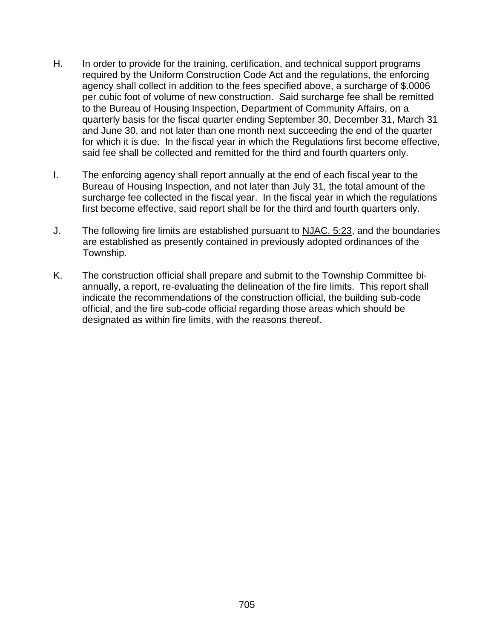- H. In order to provide for the training, certification, and technical support programs required by the Uniform Construction Code Act and the regulations, the enforcing agency shall collect in addition to the fees specified above, a surcharge of \$.0006 per cubic foot of volume of new construction. Said surcharge fee shall be remitted to the Bureau of Housing Inspection, Department of Community Affairs, on a quarterly basis for the fiscal quarter ending September 30, December 31, March 31 and June 30, and not later than one month next succeeding the end of the quarter for which it is due. In the fiscal year in which the Regulations first become effective, said fee shall be collected and remitted for the third and fourth quarters only.
- I. The enforcing agency shall report annually at the end of each fiscal year to the Bureau of Housing Inspection, and not later than July 31, the total amount of the surcharge fee collected in the fiscal year. In the fiscal year in which the regulations first become effective, said report shall be for the third and fourth quarters only.
- J. The following fire limits are established pursuant to NJAC. 5:23, and the boundaries are established as presently contained in previously adopted ordinances of the Township.
- K. The construction official shall prepare and submit to the Township Committee biannually, a report, re-evaluating the delineation of the fire limits. This report shall indicate the recommendations of the construction official, the building sub-code official, and the fire sub-code official regarding those areas which should be designated as within fire limits, with the reasons thereof.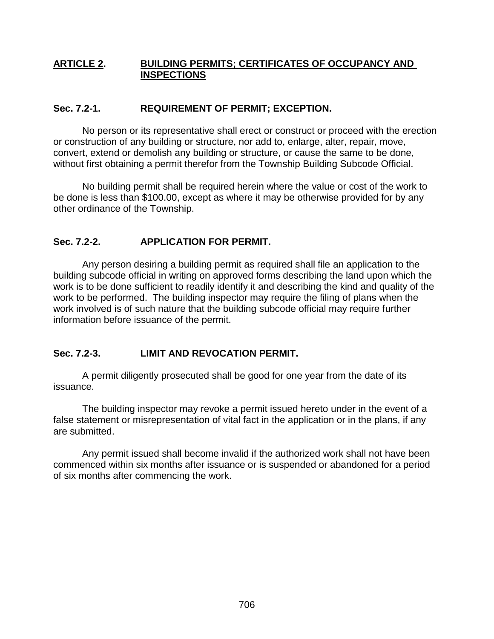## **ARTICLE 2. BUILDING PERMITS; CERTIFICATES OF OCCUPANCY AND INSPECTIONS**

# **Sec. 7.2-1. REQUIREMENT OF PERMIT; EXCEPTION.**

No person or its representative shall erect or construct or proceed with the erection or construction of any building or structure, nor add to, enlarge, alter, repair, move, convert, extend or demolish any building or structure, or cause the same to be done, without first obtaining a permit therefor from the Township Building Subcode Official.

No building permit shall be required herein where the value or cost of the work to be done is less than \$100.00, except as where it may be otherwise provided for by any other ordinance of the Township.

# **Sec. 7.2-2. APPLICATION FOR PERMIT.**

Any person desiring a building permit as required shall file an application to the building subcode official in writing on approved forms describing the land upon which the work is to be done sufficient to readily identify it and describing the kind and quality of the work to be performed. The building inspector may require the filing of plans when the work involved is of such nature that the building subcode official may require further information before issuance of the permit.

# **Sec. 7.2-3. LIMIT AND REVOCATION PERMIT.**

A permit diligently prosecuted shall be good for one year from the date of its issuance.

The building inspector may revoke a permit issued hereto under in the event of a false statement or misrepresentation of vital fact in the application or in the plans, if any are submitted.

Any permit issued shall become invalid if the authorized work shall not have been commenced within six months after issuance or is suspended or abandoned for a period of six months after commencing the work.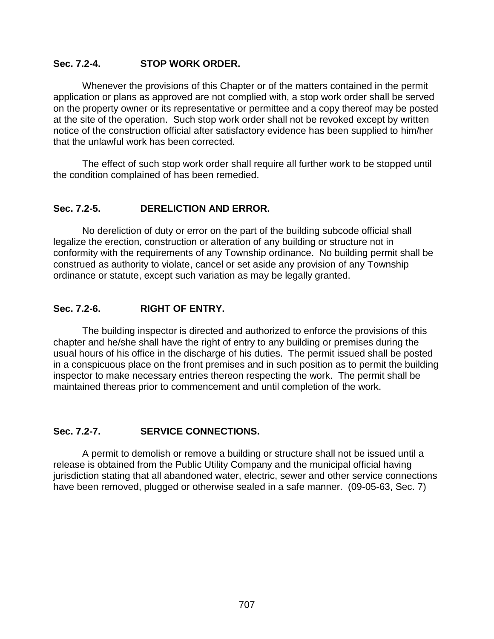# **Sec. 7.2-4. STOP WORK ORDER.**

Whenever the provisions of this Chapter or of the matters contained in the permit application or plans as approved are not complied with, a stop work order shall be served on the property owner or its representative or permittee and a copy thereof may be posted at the site of the operation. Such stop work order shall not be revoked except by written notice of the construction official after satisfactory evidence has been supplied to him/her that the unlawful work has been corrected.

The effect of such stop work order shall require all further work to be stopped until the condition complained of has been remedied.

## **Sec. 7.2-5. DERELICTION AND ERROR.**

No dereliction of duty or error on the part of the building subcode official shall legalize the erection, construction or alteration of any building or structure not in conformity with the requirements of any Township ordinance. No building permit shall be construed as authority to violate, cancel or set aside any provision of any Township ordinance or statute, except such variation as may be legally granted.

## **Sec. 7.2-6. RIGHT OF ENTRY.**

The building inspector is directed and authorized to enforce the provisions of this chapter and he/she shall have the right of entry to any building or premises during the usual hours of his office in the discharge of his duties. The permit issued shall be posted in a conspicuous place on the front premises and in such position as to permit the building inspector to make necessary entries thereon respecting the work. The permit shall be maintained thereas prior to commencement and until completion of the work.

# **Sec. 7.2-7. SERVICE CONNECTIONS.**

A permit to demolish or remove a building or structure shall not be issued until a release is obtained from the Public Utility Company and the municipal official having jurisdiction stating that all abandoned water, electric, sewer and other service connections have been removed, plugged or otherwise sealed in a safe manner. (09-05-63, Sec. 7)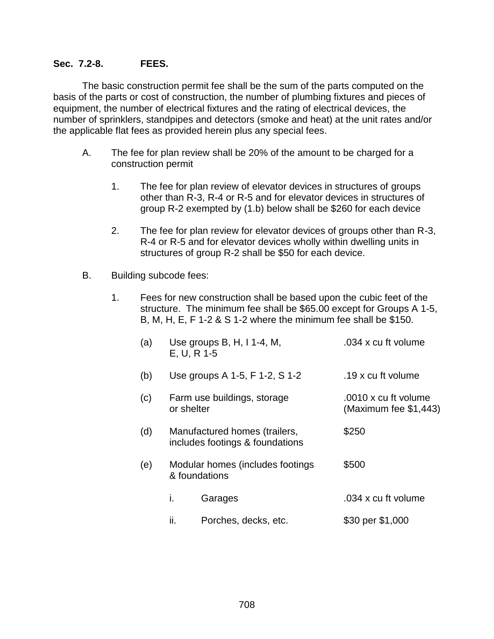## **Sec. 7.2-8. FEES.**

The basic construction permit fee shall be the sum of the parts computed on the basis of the parts or cost of construction, the number of plumbing fixtures and pieces of equipment, the number of electrical fixtures and the rating of electrical devices, the number of sprinklers, standpipes and detectors (smoke and heat) at the unit rates and/or the applicable flat fees as provided herein plus any special fees.

- A. The fee for plan review shall be 20% of the amount to be charged for a construction permit
	- 1. The fee for plan review of elevator devices in structures of groups other than R-3, R-4 or R-5 and for elevator devices in structures of group R-2 exempted by (1.b) below shall be \$260 for each device
	- 2. The fee for plan review for elevator devices of groups other than R-3, R-4 or R-5 and for elevator devices wholly within dwelling units in structures of group R-2 shall be \$50 for each device.
- B. Building subcode fees:
	- 1. Fees for new construction shall be based upon the cubic feet of the structure. The minimum fee shall be \$65.00 except for Groups A 1-5, B, M, H, E, F 1-2 & S 1-2 where the minimum fee shall be \$150.

| (a) | E, U, R 1-5 | Use groups B, H, I 1-4, M,                                       | .034 x cu ft volume                             |
|-----|-------------|------------------------------------------------------------------|-------------------------------------------------|
| (b) |             | Use groups A 1-5, F 1-2, S 1-2                                   | .19 x cu ft volume                              |
| (c) | or shelter  | Farm use buildings, storage                                      | .0010 x cu ft volume<br>(Maximum fee $$1,443$ ) |
| (d) |             | Manufactured homes (trailers,<br>includes footings & foundations | \$250                                           |
| (e) |             | Modular homes (includes footings<br>& foundations                | \$500                                           |
|     | i.          | Garages                                                          | .034 x cu ft volume                             |
|     | ii.         | Porches, decks, etc.                                             | \$30 per \$1,000                                |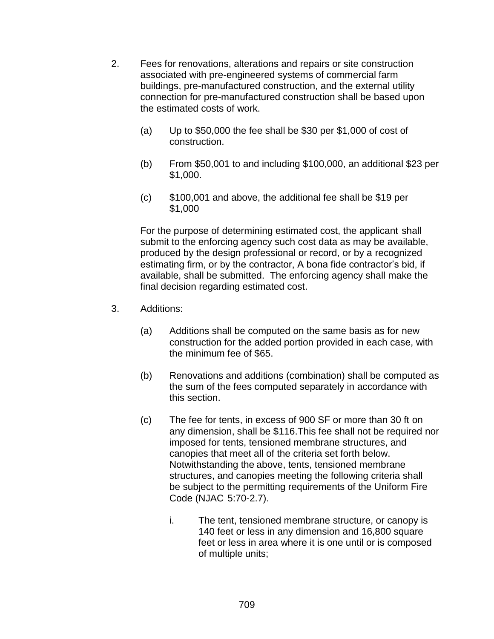- 2. Fees for renovations, alterations and repairs or site construction associated with pre-engineered systems of commercial farm buildings, pre-manufactured construction, and the external utility connection for pre-manufactured construction shall be based upon the estimated costs of work.
	- (a) Up to \$50,000 the fee shall be \$30 per \$1,000 of cost of construction.
	- (b) From \$50,001 to and including \$100,000, an additional \$23 per \$1,000.
	- (c) \$100,001 and above, the additional fee shall be \$19 per \$1,000

For the purpose of determining estimated cost, the applicant shall submit to the enforcing agency such cost data as may be available, produced by the design professional or record, or by a recognized estimating firm, or by the contractor, A bona fide contractor's bid, if available, shall be submitted. The enforcing agency shall make the final decision regarding estimated cost.

- 3. Additions:
	- (a) Additions shall be computed on the same basis as for new construction for the added portion provided in each case, with the minimum fee of \$65.
	- (b) Renovations and additions (combination) shall be computed as the sum of the fees computed separately in accordance with this section.
	- (c) The fee for tents, in excess of 900 SF or more than 30 ft on any dimension, shall be \$116.This fee shall not be required nor imposed for tents, tensioned membrane structures, and canopies that meet all of the criteria set forth below. Notwithstanding the above, tents, tensioned membrane structures, and canopies meeting the following criteria shall be subject to the permitting requirements of the Uniform Fire Code (NJAC 5:70-2.7).
		- i. The tent, tensioned membrane structure, or canopy is 140 feet or less in any dimension and 16,800 square feet or less in area where it is one until or is composed of multiple units;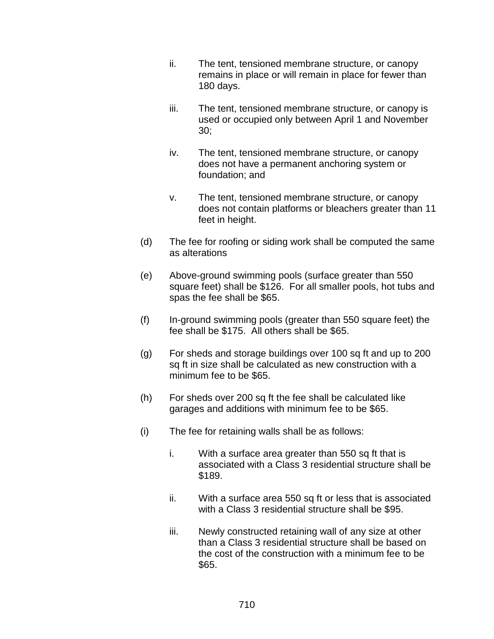- ii. The tent, tensioned membrane structure, or canopy remains in place or will remain in place for fewer than 180 days.
- iii. The tent, tensioned membrane structure, or canopy is used or occupied only between April 1 and November 30;
- iv. The tent, tensioned membrane structure, or canopy does not have a permanent anchoring system or foundation; and
- v. The tent, tensioned membrane structure, or canopy does not contain platforms or bleachers greater than 11 feet in height.
- (d) The fee for roofing or siding work shall be computed the same as alterations
- (e) Above-ground swimming pools (surface greater than 550 square feet) shall be \$126. For all smaller pools, hot tubs and spas the fee shall be \$65.
- (f) In-ground swimming pools (greater than 550 square feet) the fee shall be \$175. All others shall be \$65.
- (g) For sheds and storage buildings over 100 sq ft and up to 200 sq ft in size shall be calculated as new construction with a minimum fee to be \$65.
- (h) For sheds over 200 sq ft the fee shall be calculated like garages and additions with minimum fee to be \$65.
- (i) The fee for retaining walls shall be as follows:
	- i. With a surface area greater than 550 sq ft that is associated with a Class 3 residential structure shall be \$189.
	- ii. With a surface area 550 sq ft or less that is associated with a Class 3 residential structure shall be \$95.
	- iii. Newly constructed retaining wall of any size at other than a Class 3 residential structure shall be based on the cost of the construction with a minimum fee to be \$65.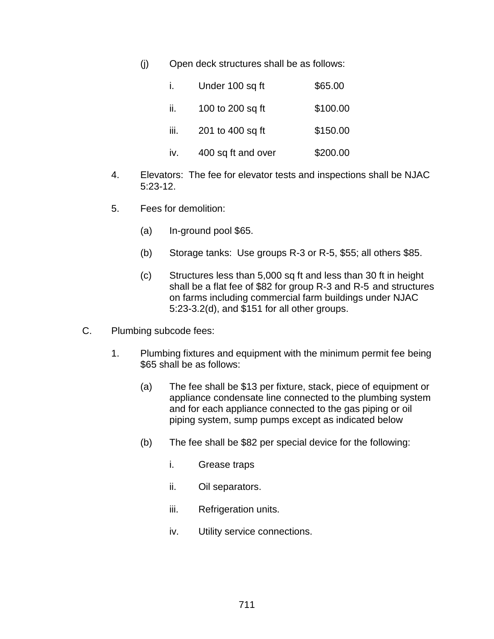(j) Open deck structures shall be as follows:

| Ĺ.   | Under 100 sq ft    | \$65.00  |
|------|--------------------|----------|
| ii.  | 100 to 200 sq ft   | \$100.00 |
| iii. | 201 to 400 sq ft   | \$150.00 |
| iv.  | 400 sq ft and over | \$200.00 |

- 4. Elevators: The fee for elevator tests and inspections shall be NJAC 5:23-12.
- 5. Fees for demolition:
	- (a) In-ground pool \$65.
	- (b) Storage tanks: Use groups R-3 or R-5, \$55; all others \$85.
	- (c) Structures less than 5,000 sq ft and less than 30 ft in height shall be a flat fee of \$82 for group R-3 and R-5 and structures on farms including commercial farm buildings under NJAC 5:23-3.2(d), and \$151 for all other groups.
- C. Plumbing subcode fees:
	- 1. Plumbing fixtures and equipment with the minimum permit fee being \$65 shall be as follows:
		- (a) The fee shall be \$13 per fixture, stack, piece of equipment or appliance condensate line connected to the plumbing system and for each appliance connected to the gas piping or oil piping system, sump pumps except as indicated below
		- (b) The fee shall be \$82 per special device for the following:
			- i. Grease traps
			- ii. Oil separators.
			- iii. Refrigeration units.
			- iv. Utility service connections.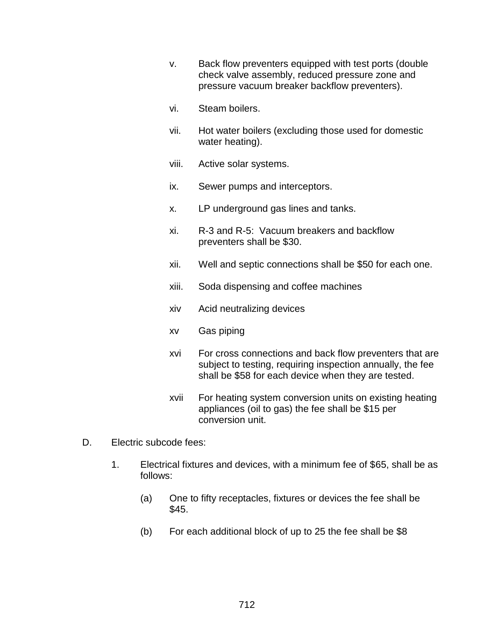- v. Back flow preventers equipped with test ports (double check valve assembly, reduced pressure zone and pressure vacuum breaker backflow preventers).
- vi. Steam boilers.
- vii. Hot water boilers (excluding those used for domestic water heating).
- viii. Active solar systems.
- ix. Sewer pumps and interceptors.
- x. LP underground gas lines and tanks.
- xi. R-3 and R-5: Vacuum breakers and backflow preventers shall be \$30.
- xii. Well and septic connections shall be \$50 for each one.
- xiii. Soda dispensing and coffee machines
- xiv Acid neutralizing devices
- xv Gas piping
- xvi For cross connections and back flow preventers that are subject to testing, requiring inspection annually, the fee shall be \$58 for each device when they are tested.
- xvii For heating system conversion units on existing heating appliances (oil to gas) the fee shall be \$15 per conversion unit.
- D. Electric subcode fees:
	- 1. Electrical fixtures and devices, with a minimum fee of \$65, shall be as follows:
		- (a) One to fifty receptacles, fixtures or devices the fee shall be \$45.
		- (b) For each additional block of up to 25 the fee shall be \$8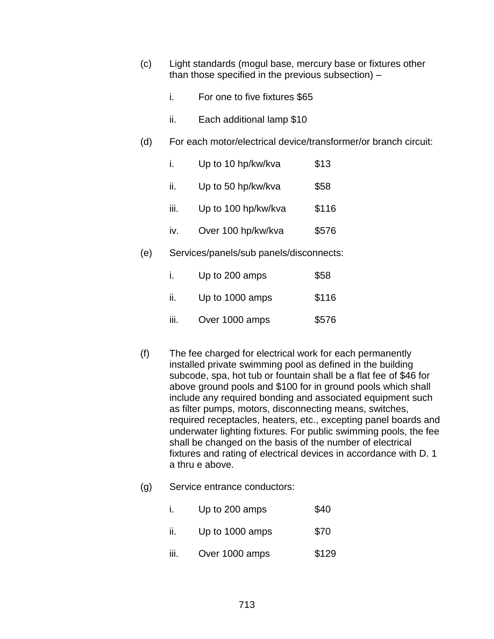- (c) Light standards (mogul base, mercury base or fixtures other than those specified in the previous subsection) –
	- i. For one to five fixtures \$65
	- ii. Each additional lamp \$10
- (d) For each motor/electrical device/transformer/or branch circuit:

| İ.   | Up to 10 hp/kw/kva  | \$13  |
|------|---------------------|-------|
| ii.  | Up to 50 hp/kw/kva  | \$58  |
| iii. | Up to 100 hp/kw/kva | \$116 |
| iv.  | Over 100 hp/kw/kva  | \$576 |
|      |                     |       |

(e) Services/panels/sub panels/disconnects:

|      | Up to 200 amps  | \$58  |
|------|-----------------|-------|
| ii.  | Up to 1000 amps | \$116 |
| iii. | Over 1000 amps  | \$576 |

- (f) The fee charged for electrical work for each permanently installed private swimming pool as defined in the building subcode, spa, hot tub or fountain shall be a flat fee of \$46 for above ground pools and \$100 for in ground pools which shall include any required bonding and associated equipment such as filter pumps, motors, disconnecting means, switches, required receptacles, heaters, etc., excepting panel boards and underwater lighting fixtures. For public swimming pools, the fee shall be changed on the basis of the number of electrical fixtures and rating of electrical devices in accordance with D. 1 a thru e above.
- (g) Service entrance conductors:

|  | Up to 200 amps | \$40 |
|--|----------------|------|
|--|----------------|------|

- ii. Up to 1000 amps  $$70$
- iii. Over 1000 amps \$129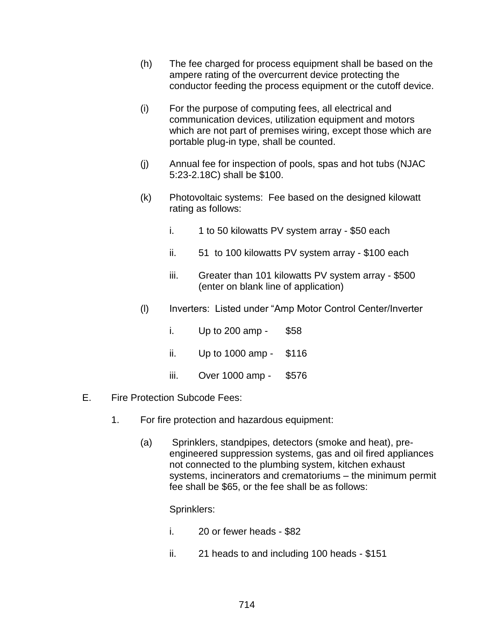- (h) The fee charged for process equipment shall be based on the ampere rating of the overcurrent device protecting the conductor feeding the process equipment or the cutoff device.
- (i) For the purpose of computing fees, all electrical and communication devices, utilization equipment and motors which are not part of premises wiring, except those which are portable plug-in type, shall be counted.
- (j) Annual fee for inspection of pools, spas and hot tubs (NJAC 5:23-2.18C) shall be \$100.
- (k) Photovoltaic systems: Fee based on the designed kilowatt rating as follows:
	- i.  $1$  to 50 kilowatts PV system array \$50 each
	- ii. 51 to 100 kilowatts PV system array \$100 each
	- iii. Greater than 101 kilowatts PV system array \$500 (enter on blank line of application)
- (l) Inverters: Listed under "Amp Motor Control Center/Inverter
	- i. Up to 200 amp \$58
	- ii. Up to 1000 amp \$116
	- iii. Over 1000 amp \$576
- E. Fire Protection Subcode Fees:
	- 1. For fire protection and hazardous equipment:
		- (a) Sprinklers, standpipes, detectors (smoke and heat), preengineered suppression systems, gas and oil fired appliances not connected to the plumbing system, kitchen exhaust systems, incinerators and crematoriums – the minimum permit fee shall be \$65, or the fee shall be as follows:

Sprinklers:

- i. 20 or fewer heads \$82
- ii. 21 heads to and including 100 heads \$151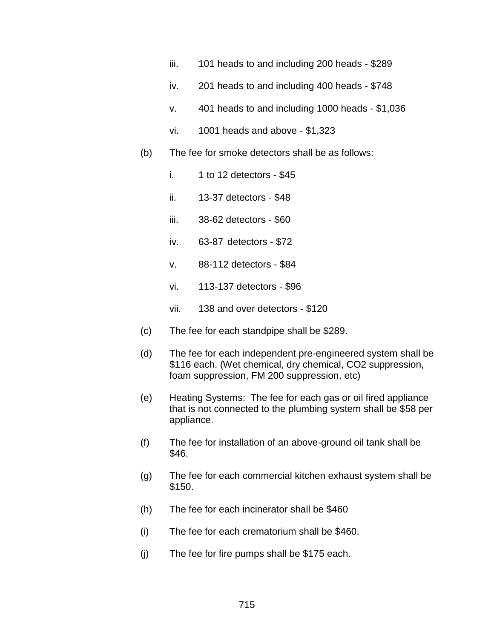- iii. 101 heads to and including 200 heads \$289
- iv. 201 heads to and including 400 heads \$748
- v. 401 heads to and including 1000 heads \$1,036
- vi. 1001 heads and above \$1,323
- (b) The fee for smoke detectors shall be as follows:
	- i.  $1$  to 12 detectors \$45
	- ii. 13-37 detectors \$48
	- iii. 38-62 detectors \$60
	- iv. 63-87 detectors \$72
	- v. 88-112 detectors \$84
	- vi. 113-137 detectors \$96
	- vii. 138 and over detectors \$120
- (c) The fee for each standpipe shall be \$289.
- (d) The fee for each independent pre-engineered system shall be \$116 each. (Wet chemical, dry chemical, CO2 suppression, foam suppression, FM 200 suppression, etc)
- (e) Heating Systems: The fee for each gas or oil fired appliance that is not connected to the plumbing system shall be \$58 per appliance.
- (f) The fee for installation of an above-ground oil tank shall be \$46.
- (g) The fee for each commercial kitchen exhaust system shall be \$150.
- (h) The fee for each incinerator shall be \$460
- (i) The fee for each crematorium shall be \$460.
- (j) The fee for fire pumps shall be \$175 each.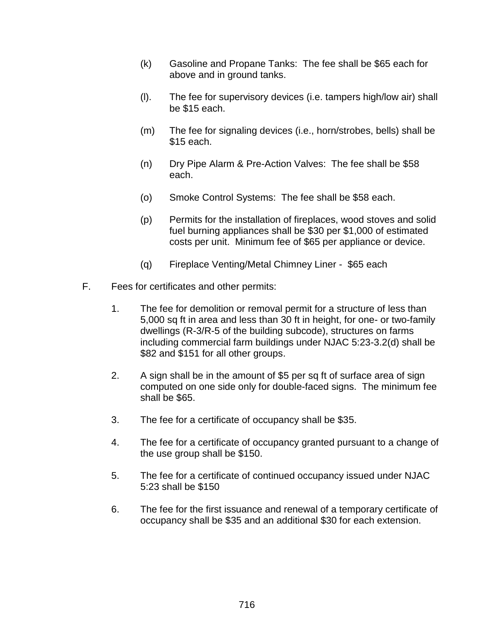- (k) Gasoline and Propane Tanks: The fee shall be \$65 each for above and in ground tanks.
- (l). The fee for supervisory devices (i.e. tampers high/low air) shall be \$15 each.
- (m) The fee for signaling devices (i.e., horn/strobes, bells) shall be \$15 each.
- (n) Dry Pipe Alarm & Pre-Action Valves: The fee shall be \$58 each.
- (o) Smoke Control Systems: The fee shall be \$58 each.
- (p) Permits for the installation of fireplaces, wood stoves and solid fuel burning appliances shall be \$30 per \$1,000 of estimated costs per unit. Minimum fee of \$65 per appliance or device.
- (q) Fireplace Venting/Metal Chimney Liner \$65 each
- F. Fees for certificates and other permits:
	- 1. The fee for demolition or removal permit for a structure of less than 5,000 sq ft in area and less than 30 ft in height, for one- or two-family dwellings (R-3/R-5 of the building subcode), structures on farms including commercial farm buildings under NJAC 5:23-3.2(d) shall be \$82 and \$151 for all other groups.
	- 2. A sign shall be in the amount of \$5 per sq ft of surface area of sign computed on one side only for double-faced signs. The minimum fee shall be \$65.
	- 3. The fee for a certificate of occupancy shall be \$35.
	- 4. The fee for a certificate of occupancy granted pursuant to a change of the use group shall be \$150.
	- 5. The fee for a certificate of continued occupancy issued under NJAC 5:23 shall be \$150
	- 6. The fee for the first issuance and renewal of a temporary certificate of occupancy shall be \$35 and an additional \$30 for each extension.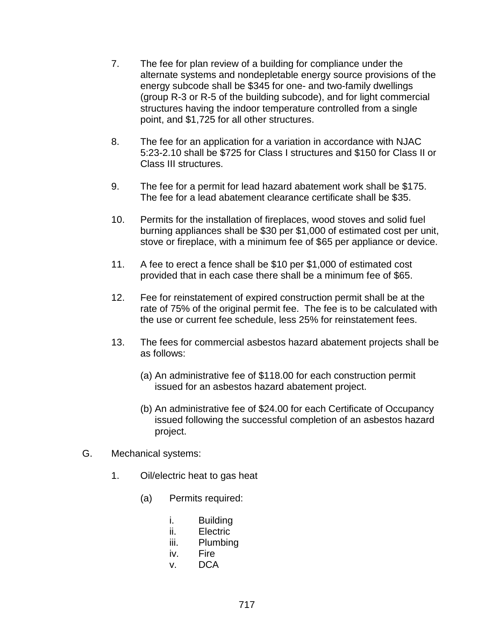- 7. The fee for plan review of a building for compliance under the alternate systems and nondepletable energy source provisions of the energy subcode shall be \$345 for one- and two-family dwellings (group R-3 or R-5 of the building subcode), and for light commercial structures having the indoor temperature controlled from a single point, and \$1,725 for all other structures.
- 8. The fee for an application for a variation in accordance with NJAC 5:23-2.10 shall be \$725 for Class I structures and \$150 for Class II or Class III structures.
- 9. The fee for a permit for lead hazard abatement work shall be \$175. The fee for a lead abatement clearance certificate shall be \$35.
- 10. Permits for the installation of fireplaces, wood stoves and solid fuel burning appliances shall be \$30 per \$1,000 of estimated cost per unit, stove or fireplace, with a minimum fee of \$65 per appliance or device.
- 11. A fee to erect a fence shall be \$10 per \$1,000 of estimated cost provided that in each case there shall be a minimum fee of \$65.
- 12. Fee for reinstatement of expired construction permit shall be at the rate of 75% of the original permit fee. The fee is to be calculated with the use or current fee schedule, less 25% for reinstatement fees.
- 13. The fees for commercial asbestos hazard abatement projects shall be as follows:
	- (a) An administrative fee of \$118.00 for each construction permit issued for an asbestos hazard abatement project.
	- (b) An administrative fee of \$24.00 for each Certificate of Occupancy issued following the successful completion of an asbestos hazard project.
- G. Mechanical systems:
	- 1. Oil/electric heat to gas heat
		- (a) Permits required:
			- i. Building
			- ii. Electric
			- iii. Plumbing
			- iv. Fire
			- v. DCA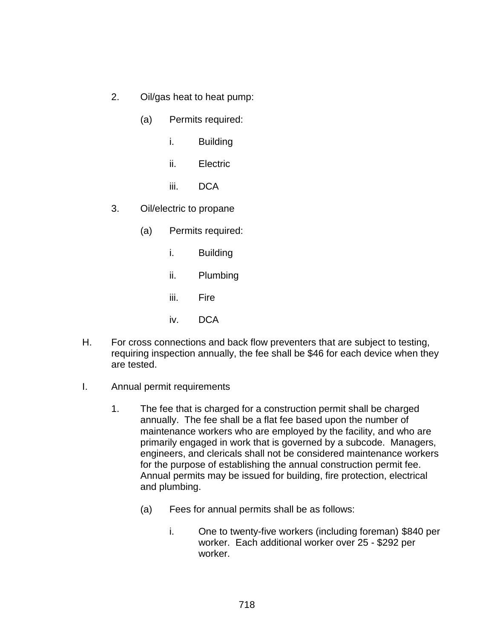- 2. Oil/gas heat to heat pump:
	- (a) Permits required:
		- i. Building
		- ii. Electric
		- iii. DCA
- 3. Oil/electric to propane
	- (a) Permits required:
		- i. Building
		- ii. Plumbing
		- iii. Fire
		- iv. DCA
- H. For cross connections and back flow preventers that are subject to testing, requiring inspection annually, the fee shall be \$46 for each device when they are tested.
- I. Annual permit requirements
	- 1. The fee that is charged for a construction permit shall be charged annually. The fee shall be a flat fee based upon the number of maintenance workers who are employed by the facility, and who are primarily engaged in work that is governed by a subcode. Managers, engineers, and clericals shall not be considered maintenance workers for the purpose of establishing the annual construction permit fee. Annual permits may be issued for building, fire protection, electrical and plumbing.
		- (a) Fees for annual permits shall be as follows:
			- i. One to twenty-five workers (including foreman) \$840 per worker. Each additional worker over 25 - \$292 per worker.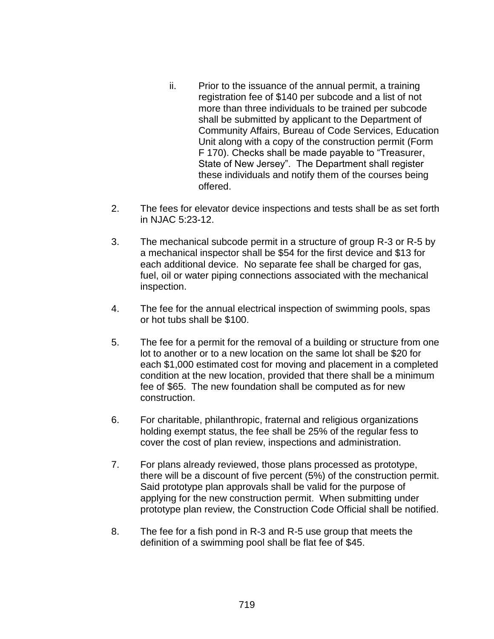- ii. Prior to the issuance of the annual permit, a training registration fee of \$140 per subcode and a list of not more than three individuals to be trained per subcode shall be submitted by applicant to the Department of Community Affairs, Bureau of Code Services, Education Unit along with a copy of the construction permit (Form F 170). Checks shall be made payable to "Treasurer, State of New Jersey". The Department shall register these individuals and notify them of the courses being offered.
- 2. The fees for elevator device inspections and tests shall be as set forth in NJAC 5:23-12.
- 3. The mechanical subcode permit in a structure of group R-3 or R-5 by a mechanical inspector shall be \$54 for the first device and \$13 for each additional device. No separate fee shall be charged for gas, fuel, oil or water piping connections associated with the mechanical inspection.
- 4. The fee for the annual electrical inspection of swimming pools, spas or hot tubs shall be \$100.
- 5. The fee for a permit for the removal of a building or structure from one lot to another or to a new location on the same lot shall be \$20 for each \$1,000 estimated cost for moving and placement in a completed condition at the new location, provided that there shall be a minimum fee of \$65. The new foundation shall be computed as for new construction.
- 6. For charitable, philanthropic, fraternal and religious organizations holding exempt status, the fee shall be 25% of the regular fess to cover the cost of plan review, inspections and administration.
- 7. For plans already reviewed, those plans processed as prototype, there will be a discount of five percent (5%) of the construction permit. Said prototype plan approvals shall be valid for the purpose of applying for the new construction permit. When submitting under prototype plan review, the Construction Code Official shall be notified.
- 8. The fee for a fish pond in R-3 and R-5 use group that meets the definition of a swimming pool shall be flat fee of \$45.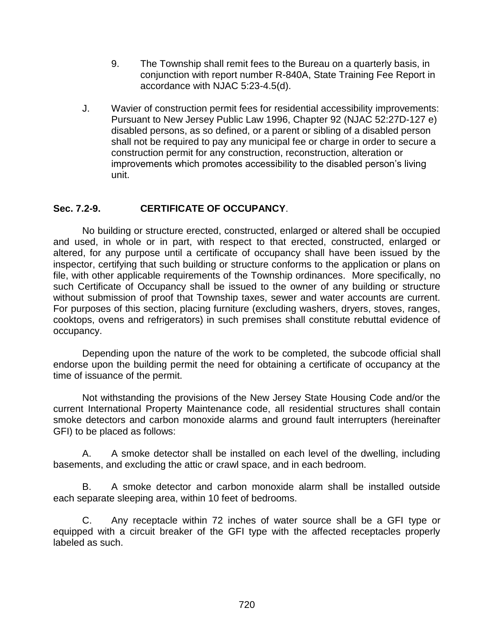- 9. The Township shall remit fees to the Bureau on a quarterly basis, in conjunction with report number R-840A, State Training Fee Report in accordance with NJAC 5:23-4.5(d).
- J. Wavier of construction permit fees for residential accessibility improvements: Pursuant to New Jersey Public Law 1996, Chapter 92 (NJAC 52:27D-127 e) disabled persons, as so defined, or a parent or sibling of a disabled person shall not be required to pay any municipal fee or charge in order to secure a construction permit for any construction, reconstruction, alteration or improvements which promotes accessibility to the disabled person's living unit.

## **Sec. 7.2-9. CERTIFICATE OF OCCUPANCY**.

No building or structure erected, constructed, enlarged or altered shall be occupied and used, in whole or in part, with respect to that erected, constructed, enlarged or altered, for any purpose until a certificate of occupancy shall have been issued by the inspector, certifying that such building or structure conforms to the application or plans on file, with other applicable requirements of the Township ordinances. More specifically, no such Certificate of Occupancy shall be issued to the owner of any building or structure without submission of proof that Township taxes, sewer and water accounts are current. For purposes of this section, placing furniture (excluding washers, dryers, stoves, ranges, cooktops, ovens and refrigerators) in such premises shall constitute rebuttal evidence of occupancy.

Depending upon the nature of the work to be completed, the subcode official shall endorse upon the building permit the need for obtaining a certificate of occupancy at the time of issuance of the permit.

Not withstanding the provisions of the New Jersey State Housing Code and/or the current International Property Maintenance code, all residential structures shall contain smoke detectors and carbon monoxide alarms and ground fault interrupters (hereinafter GFI) to be placed as follows:

A. A smoke detector shall be installed on each level of the dwelling, including basements, and excluding the attic or crawl space, and in each bedroom.

B. A smoke detector and carbon monoxide alarm shall be installed outside each separate sleeping area, within 10 feet of bedrooms.

C. Any receptacle within 72 inches of water source shall be a GFI type or equipped with a circuit breaker of the GFI type with the affected receptacles properly labeled as such.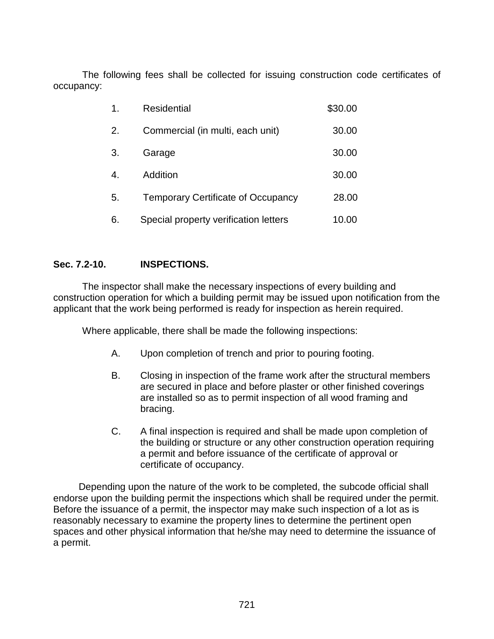The following fees shall be collected for issuing construction code certificates of occupancy:

| 1. | <b>Residential</b>                        | \$30.00 |
|----|-------------------------------------------|---------|
| 2. | Commercial (in multi, each unit)          | 30.00   |
| 3. | Garage                                    | 30.00   |
| 4. | Addition                                  | 30.00   |
| 5. | <b>Temporary Certificate of Occupancy</b> | 28.00   |
| 6. | Special property verification letters     | 10.00   |

## **Sec. 7.2-10. INSPECTIONS.**

The inspector shall make the necessary inspections of every building and construction operation for which a building permit may be issued upon notification from the applicant that the work being performed is ready for inspection as herein required.

Where applicable, there shall be made the following inspections:

- A. Upon completion of trench and prior to pouring footing.
- B. Closing in inspection of the frame work after the structural members are secured in place and before plaster or other finished coverings are installed so as to permit inspection of all wood framing and bracing.
- C. A final inspection is required and shall be made upon completion of the building or structure or any other construction operation requiring a permit and before issuance of the certificate of approval or certificate of occupancy.

Depending upon the nature of the work to be completed, the subcode official shall endorse upon the building permit the inspections which shall be required under the permit. Before the issuance of a permit, the inspector may make such inspection of a lot as is reasonably necessary to examine the property lines to determine the pertinent open spaces and other physical information that he/she may need to determine the issuance of a permit.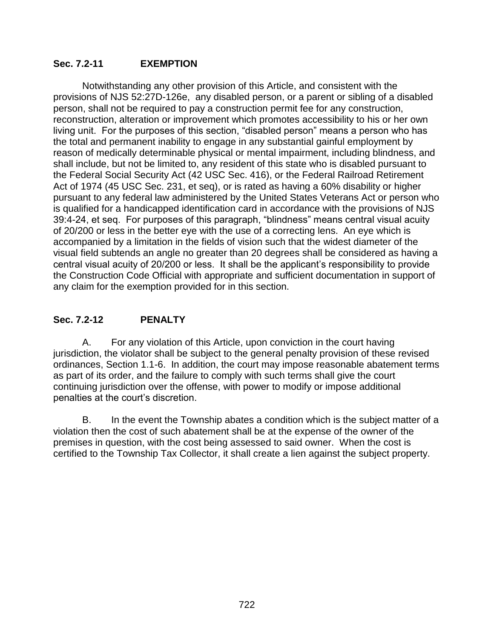## **Sec. 7.2-11 EXEMPTION**

Notwithstanding any other provision of this Article, and consistent with the provisions of NJS 52:27D-126e, any disabled person, or a parent or sibling of a disabled person, shall not be required to pay a construction permit fee for any construction, reconstruction, alteration or improvement which promotes accessibility to his or her own living unit. For the purposes of this section, "disabled person" means a person who has the total and permanent inability to engage in any substantial gainful employment by reason of medically determinable physical or mental impairment, including blindness, and shall include, but not be limited to, any resident of this state who is disabled pursuant to the Federal Social Security Act (42 USC Sec. 416), or the Federal Railroad Retirement Act of 1974 (45 USC Sec. 231, et seq), or is rated as having a 60% disability or higher pursuant to any federal law administered by the United States Veterans Act or person who is qualified for a handicapped identification card in accordance with the provisions of NJS 39:4-24, et seq. For purposes of this paragraph, "blindness" means central visual acuity of 20/200 or less in the better eye with the use of a correcting lens. An eye which is accompanied by a limitation in the fields of vision such that the widest diameter of the visual field subtends an angle no greater than 20 degrees shall be considered as having a central visual acuity of 20/200 or less. It shall be the applicant's responsibility to provide the Construction Code Official with appropriate and sufficient documentation in support of any claim for the exemption provided for in this section.

# **Sec. 7.2-12 PENALTY**

A. For any violation of this Article, upon conviction in the court having jurisdiction, the violator shall be subject to the general penalty provision of these revised ordinances, Section 1.1-6. In addition, the court may impose reasonable abatement terms as part of its order, and the failure to comply with such terms shall give the court continuing jurisdiction over the offense, with power to modify or impose additional penalties at the court's discretion.

B. In the event the Township abates a condition which is the subject matter of a violation then the cost of such abatement shall be at the expense of the owner of the premises in question, with the cost being assessed to said owner. When the cost is certified to the Township Tax Collector, it shall create a lien against the subject property.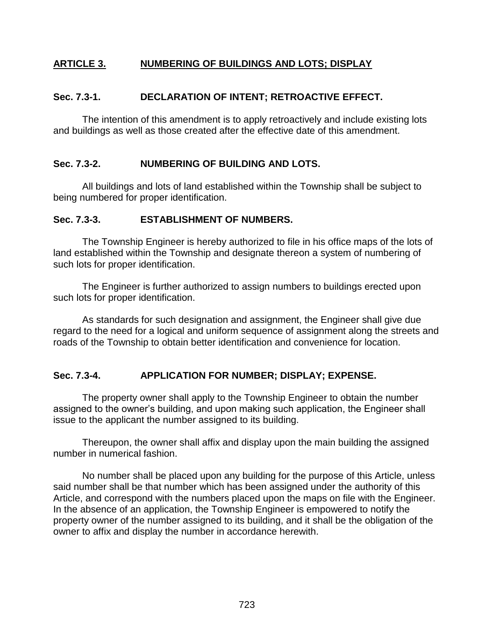# **ARTICLE 3. NUMBERING OF BUILDINGS AND LOTS; DISPLAY**

### **Sec. 7.3-1. DECLARATION OF INTENT; RETROACTIVE EFFECT.**

The intention of this amendment is to apply retroactively and include existing lots and buildings as well as those created after the effective date of this amendment.

#### **Sec. 7.3-2. NUMBERING OF BUILDING AND LOTS.**

All buildings and lots of land established within the Township shall be subject to being numbered for proper identification.

#### **Sec. 7.3-3. ESTABLISHMENT OF NUMBERS.**

The Township Engineer is hereby authorized to file in his office maps of the lots of land established within the Township and designate thereon a system of numbering of such lots for proper identification.

The Engineer is further authorized to assign numbers to buildings erected upon such lots for proper identification.

As standards for such designation and assignment, the Engineer shall give due regard to the need for a logical and uniform sequence of assignment along the streets and roads of the Township to obtain better identification and convenience for location.

## **Sec. 7.3-4. APPLICATION FOR NUMBER; DISPLAY; EXPENSE.**

The property owner shall apply to the Township Engineer to obtain the number assigned to the owner's building, and upon making such application, the Engineer shall issue to the applicant the number assigned to its building.

Thereupon, the owner shall affix and display upon the main building the assigned number in numerical fashion.

No number shall be placed upon any building for the purpose of this Article, unless said number shall be that number which has been assigned under the authority of this Article, and correspond with the numbers placed upon the maps on file with the Engineer. In the absence of an application, the Township Engineer is empowered to notify the property owner of the number assigned to its building, and it shall be the obligation of the owner to affix and display the number in accordance herewith.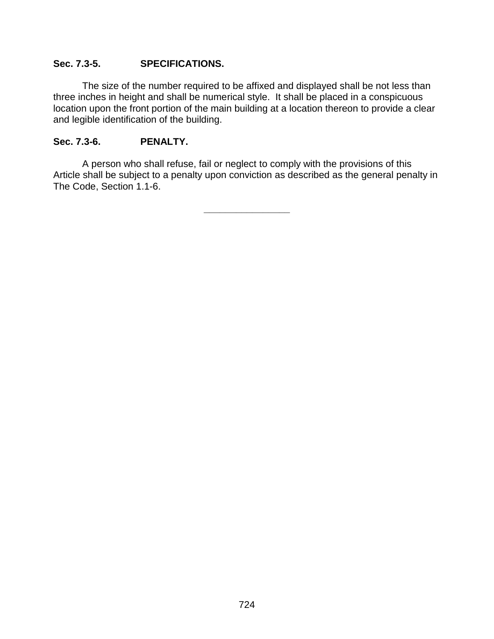## **Sec. 7.3-5. SPECIFICATIONS.**

The size of the number required to be affixed and displayed shall be not less than three inches in height and shall be numerical style. It shall be placed in a conspicuous location upon the front portion of the main building at a location thereon to provide a clear and legible identification of the building.

## **Sec. 7.3-6. PENALTY.**

A person who shall refuse, fail or neglect to comply with the provisions of this Article shall be subject to a penalty upon conviction as described as the general penalty in The Code, Section 1.1-6.

**\_\_\_\_\_\_\_\_\_\_\_\_\_\_\_\_**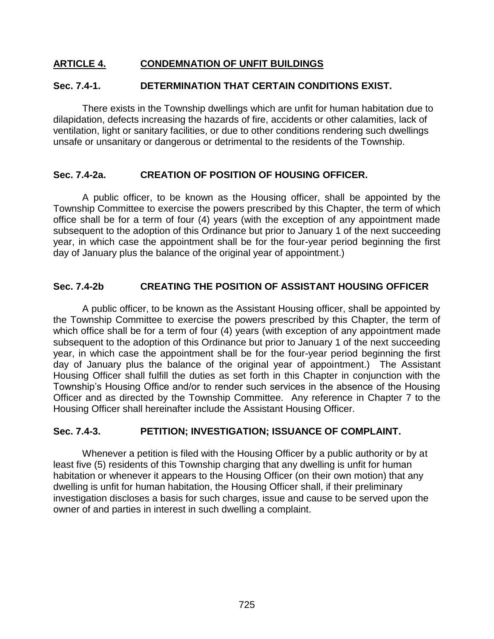## **ARTICLE 4. CONDEMNATION OF UNFIT BUILDINGS**

## **Sec. 7.4-1. DETERMINATION THAT CERTAIN CONDITIONS EXIST.**

There exists in the Township dwellings which are unfit for human habitation due to dilapidation, defects increasing the hazards of fire, accidents or other calamities, lack of ventilation, light or sanitary facilities, or due to other conditions rendering such dwellings unsafe or unsanitary or dangerous or detrimental to the residents of the Township.

## **Sec. 7.4-2a. CREATION OF POSITION OF HOUSING OFFICER.**

A public officer, to be known as the Housing officer, shall be appointed by the Township Committee to exercise the powers prescribed by this Chapter, the term of which office shall be for a term of four (4) years (with the exception of any appointment made subsequent to the adoption of this Ordinance but prior to January 1 of the next succeeding year, in which case the appointment shall be for the four-year period beginning the first day of January plus the balance of the original year of appointment.)

## **Sec. 7.4-2b CREATING THE POSITION OF ASSISTANT HOUSING OFFICER**

A public officer, to be known as the Assistant Housing officer, shall be appointed by the Township Committee to exercise the powers prescribed by this Chapter, the term of which office shall be for a term of four (4) years (with exception of any appointment made subsequent to the adoption of this Ordinance but prior to January 1 of the next succeeding year, in which case the appointment shall be for the four-year period beginning the first day of January plus the balance of the original year of appointment.) The Assistant Housing Officer shall fulfill the duties as set forth in this Chapter in conjunction with the Township's Housing Office and/or to render such services in the absence of the Housing Officer and as directed by the Township Committee. Any reference in Chapter 7 to the Housing Officer shall hereinafter include the Assistant Housing Officer.

## **Sec. 7.4-3. PETITION; INVESTIGATION; ISSUANCE OF COMPLAINT.**

Whenever a petition is filed with the Housing Officer by a public authority or by at least five (5) residents of this Township charging that any dwelling is unfit for human habitation or whenever it appears to the Housing Officer (on their own motion) that any dwelling is unfit for human habitation, the Housing Officer shall, if their preliminary investigation discloses a basis for such charges, issue and cause to be served upon the owner of and parties in interest in such dwelling a complaint.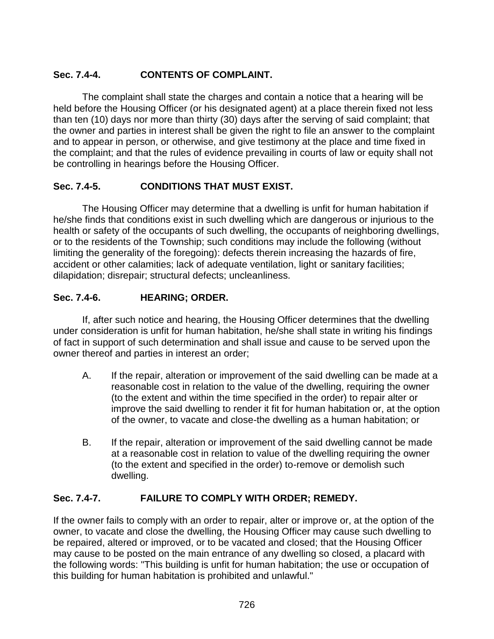# **Sec. 7.4-4. CONTENTS OF COMPLAINT.**

The complaint shall state the charges and contain a notice that a hearing will be held before the Housing Officer (or his designated agent) at a place therein fixed not less than ten (10) days nor more than thirty (30) days after the serving of said complaint; that the owner and parties in interest shall be given the right to file an answer to the complaint and to appear in person, or otherwise, and give testimony at the place and time fixed in the complaint; and that the rules of evidence prevailing in courts of law or equity shall not be controlling in hearings before the Housing Officer.

# **Sec. 7.4-5. CONDITIONS THAT MUST EXIST.**

The Housing Officer may determine that a dwelling is unfit for human habitation if he/she finds that conditions exist in such dwelling which are dangerous or injurious to the health or safety of the occupants of such dwelling, the occupants of neighboring dwellings, or to the residents of the Township; such conditions may include the following (without limiting the generality of the foregoing): defects therein increasing the hazards of fire, accident or other calamities; lack of adequate ventilation, light or sanitary facilities; dilapidation; disrepair; structural defects; uncleanliness.

# **Sec. 7.4-6. HEARING; ORDER.**

If, after such notice and hearing, the Housing Officer determines that the dwelling under consideration is unfit for human habitation, he/she shall state in writing his findings of fact in support of such determination and shall issue and cause to be served upon the owner thereof and parties in interest an order;

- A. If the repair, alteration or improvement of the said dwelling can be made at a reasonable cost in relation to the value of the dwelling, requiring the owner (to the extent and within the time specified in the order) to repair alter or improve the said dwelling to render it fit for human habitation or, at the option of the owner, to vacate and close-the dwelling as a human habitation; or
- B. If the repair, alteration or improvement of the said dwelling cannot be made at a reasonable cost in relation to value of the dwelling requiring the owner (to the extent and specified in the order) to-remove or demolish such dwelling.

# **Sec. 7.4-7. FAILURE TO COMPLY WITH ORDER; REMEDY.**

If the owner fails to comply with an order to repair, alter or improve or, at the option of the owner, to vacate and close the dwelling, the Housing Officer may cause such dwelling to be repaired, altered or improved, or to be vacated and closed; that the Housing Officer may cause to be posted on the main entrance of any dwelling so closed, a placard with the following words: "This building is unfit for human habitation; the use or occupation of this building for human habitation is prohibited and unlawful."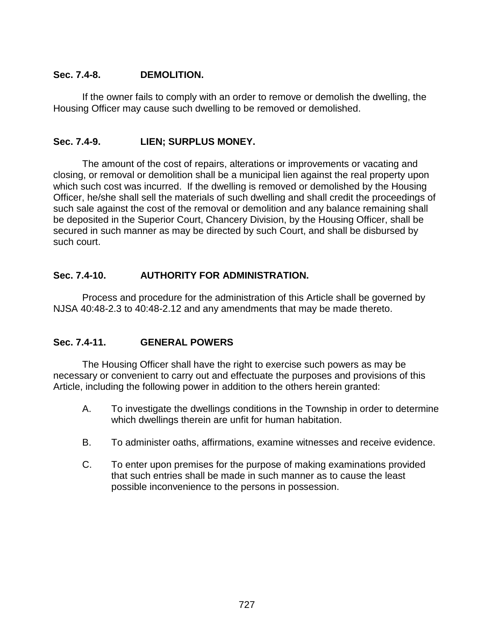## **Sec. 7.4-8. DEMOLITION.**

If the owner fails to comply with an order to remove or demolish the dwelling, the Housing Officer may cause such dwelling to be removed or demolished.

# **Sec. 7.4-9. LIEN; SURPLUS MONEY.**

The amount of the cost of repairs, alterations or improvements or vacating and closing, or removal or demolition shall be a municipal lien against the real property upon which such cost was incurred. If the dwelling is removed or demolished by the Housing Officer, he/she shall sell the materials of such dwelling and shall credit the proceedings of such sale against the cost of the removal or demolition and any balance remaining shall be deposited in the Superior Court, Chancery Division, by the Housing Officer, shall be secured in such manner as may be directed by such Court, and shall be disbursed by such court.

## **Sec. 7.4-10. AUTHORITY FOR ADMINISTRATION.**

Process and procedure for the administration of this Article shall be governed by NJSA 40:48-2.3 to 40:48-2.12 and any amendments that may be made thereto.

# **Sec. 7.4-11. GENERAL POWERS**

The Housing Officer shall have the right to exercise such powers as may be necessary or convenient to carry out and effectuate the purposes and provisions of this Article, including the following power in addition to the others herein granted:

- A. To investigate the dwellings conditions in the Township in order to determine which dwellings therein are unfit for human habitation.
- B. To administer oaths, affirmations, examine witnesses and receive evidence.
- C. To enter upon premises for the purpose of making examinations provided that such entries shall be made in such manner as to cause the least possible inconvenience to the persons in possession.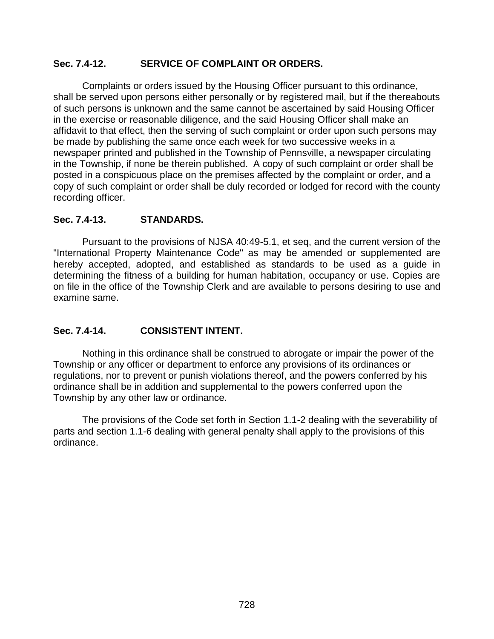## **Sec. 7.4-12. SERVICE OF COMPLAINT OR ORDERS.**

Complaints or orders issued by the Housing Officer pursuant to this ordinance, shall be served upon persons either personally or by registered mail, but if the thereabouts of such persons is unknown and the same cannot be ascertained by said Housing Officer in the exercise or reasonable diligence, and the said Housing Officer shall make an affidavit to that effect, then the serving of such complaint or order upon such persons may be made by publishing the same once each week for two successive weeks in a newspaper printed and published in the Township of Pennsville, a newspaper circulating in the Township, if none be therein published. A copy of such complaint or order shall be posted in a conspicuous place on the premises affected by the complaint or order, and a copy of such complaint or order shall be duly recorded or lodged for record with the county recording officer.

## **Sec. 7.4-13. STANDARDS.**

Pursuant to the provisions of NJSA 40:49-5.1, et seq, and the current version of the "International Property Maintenance Code" as may be amended or supplemented are hereby accepted, adopted, and established as standards to be used as a guide in determining the fitness of a building for human habitation, occupancy or use. Copies are on file in the office of the Township Clerk and are available to persons desiring to use and examine same.

# **Sec. 7.4-14. CONSISTENT INTENT.**

Nothing in this ordinance shall be construed to abrogate or impair the power of the Township or any officer or department to enforce any provisions of its ordinances or regulations, nor to prevent or punish violations thereof, and the powers conferred by his ordinance shall be in addition and supplemental to the powers conferred upon the Township by any other law or ordinance.

The provisions of the Code set forth in Section 1.1-2 dealing with the severability of parts and section 1.1-6 dealing with general penalty shall apply to the provisions of this ordinance.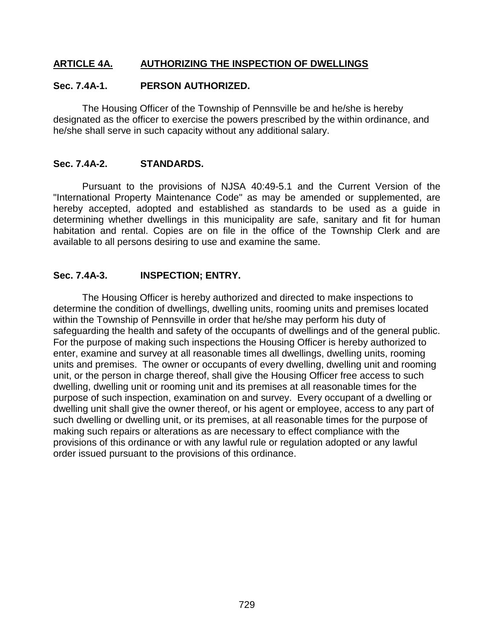## **ARTICLE 4A. AUTHORIZING THE INSPECTION OF DWELLINGS**

### **Sec. 7.4A-1. PERSON AUTHORIZED.**

The Housing Officer of the Township of Pennsville be and he/she is hereby designated as the officer to exercise the powers prescribed by the within ordinance, and he/she shall serve in such capacity without any additional salary.

#### **Sec. 7.4A-2. STANDARDS.**

Pursuant to the provisions of NJSA 40:49-5.1 and the Current Version of the "International Property Maintenance Code" as may be amended or supplemented, are hereby accepted, adopted and established as standards to be used as a guide in determining whether dwellings in this municipality are safe, sanitary and fit for human habitation and rental. Copies are on file in the office of the Township Clerk and are available to all persons desiring to use and examine the same.

#### **Sec. 7.4A-3. INSPECTION; ENTRY.**

The Housing Officer is hereby authorized and directed to make inspections to determine the condition of dwellings, dwelling units, rooming units and premises located within the Township of Pennsville in order that he/she may perform his duty of safeguarding the health and safety of the occupants of dwellings and of the general public. For the purpose of making such inspections the Housing Officer is hereby authorized to enter, examine and survey at all reasonable times all dwellings, dwelling units, rooming units and premises. The owner or occupants of every dwelling, dwelling unit and rooming unit, or the person in charge thereof, shall give the Housing Officer free access to such dwelling, dwelling unit or rooming unit and its premises at all reasonable times for the purpose of such inspection, examination on and survey. Every occupant of a dwelling or dwelling unit shall give the owner thereof, or his agent or employee, access to any part of such dwelling or dwelling unit, or its premises, at all reasonable times for the purpose of making such repairs or alterations as are necessary to effect compliance with the provisions of this ordinance or with any lawful rule or regulation adopted or any lawful order issued pursuant to the provisions of this ordinance.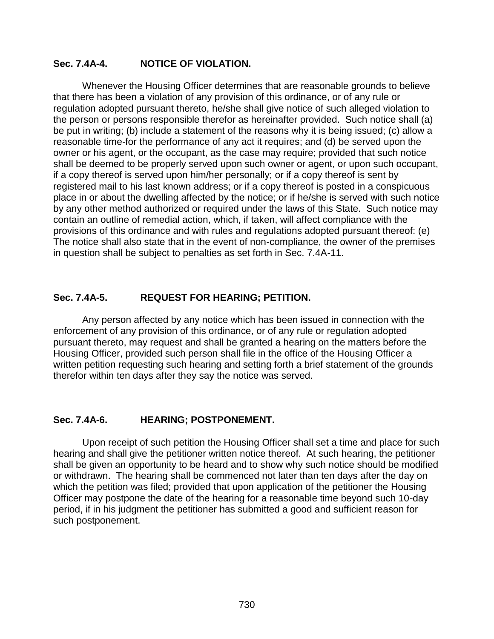## **Sec. 7.4A-4. NOTICE OF VIOLATION.**

Whenever the Housing Officer determines that are reasonable grounds to believe that there has been a violation of any provision of this ordinance, or of any rule or regulation adopted pursuant thereto, he/she shall give notice of such alleged violation to the person or persons responsible therefor as hereinafter provided. Such notice shall (a) be put in writing; (b) include a statement of the reasons why it is being issued; (c) allow a reasonable time-for the performance of any act it requires; and (d) be served upon the owner or his agent, or the occupant, as the case may require; provided that such notice shall be deemed to be properly served upon such owner or agent, or upon such occupant, if a copy thereof is served upon him/her personally; or if a copy thereof is sent by registered mail to his last known address; or if a copy thereof is posted in a conspicuous place in or about the dwelling affected by the notice; or if he/she is served with such notice by any other method authorized or required under the laws of this State. Such notice may contain an outline of remedial action, which, if taken, will affect compliance with the provisions of this ordinance and with rules and regulations adopted pursuant thereof: (e) The notice shall also state that in the event of non-compliance, the owner of the premises in question shall be subject to penalties as set forth in Sec. 7.4A-11.

## **Sec. 7.4A-5. REQUEST FOR HEARING; PETITION.**

Any person affected by any notice which has been issued in connection with the enforcement of any provision of this ordinance, or of any rule or regulation adopted pursuant thereto, may request and shall be granted a hearing on the matters before the Housing Officer, provided such person shall file in the office of the Housing Officer a written petition requesting such hearing and setting forth a brief statement of the grounds therefor within ten days after they say the notice was served.

## **Sec. 7.4A-6. HEARING; POSTPONEMENT.**

Upon receipt of such petition the Housing Officer shall set a time and place for such hearing and shall give the petitioner written notice thereof. At such hearing, the petitioner shall be given an opportunity to be heard and to show why such notice should be modified or withdrawn. The hearing shall be commenced not later than ten days after the day on which the petition was filed; provided that upon application of the petitioner the Housing Officer may postpone the date of the hearing for a reasonable time beyond such 10-day period, if in his judgment the petitioner has submitted a good and sufficient reason for such postponement.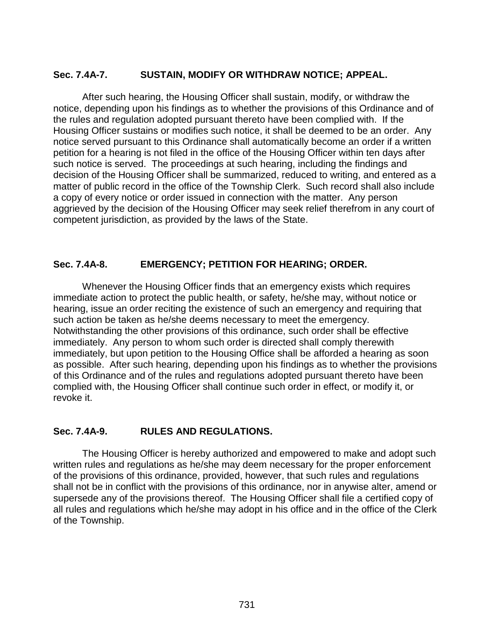## **Sec. 7.4A-7. SUSTAIN, MODIFY OR WITHDRAW NOTICE; APPEAL.**

After such hearing, the Housing Officer shall sustain, modify, or withdraw the notice, depending upon his findings as to whether the provisions of this Ordinance and of the rules and regulation adopted pursuant thereto have been complied with. If the Housing Officer sustains or modifies such notice, it shall be deemed to be an order. Any notice served pursuant to this Ordinance shall automatically become an order if a written petition for a hearing is not filed in the office of the Housing Officer within ten days after such notice is served. The proceedings at such hearing, including the findings and decision of the Housing Officer shall be summarized, reduced to writing, and entered as a matter of public record in the office of the Township Clerk. Such record shall also include a copy of every notice or order issued in connection with the matter. Any person aggrieved by the decision of the Housing Officer may seek relief therefrom in any court of competent jurisdiction, as provided by the laws of the State.

## **Sec. 7.4A-8. EMERGENCY; PETITION FOR HEARING; ORDER.**

Whenever the Housing Officer finds that an emergency exists which requires immediate action to protect the public health, or safety, he/she may, without notice or hearing, issue an order reciting the existence of such an emergency and requiring that such action be taken as he/she deems necessary to meet the emergency. Notwithstanding the other provisions of this ordinance, such order shall be effective immediately. Any person to whom such order is directed shall comply therewith immediately, but upon petition to the Housing Office shall be afforded a hearing as soon as possible. After such hearing, depending upon his findings as to whether the provisions of this Ordinance and of the rules and regulations adopted pursuant thereto have been complied with, the Housing Officer shall continue such order in effect, or modify it, or revoke it.

## **Sec. 7.4A-9. RULES AND REGULATIONS.**

The Housing Officer is hereby authorized and empowered to make and adopt such written rules and regulations as he/she may deem necessary for the proper enforcement of the provisions of this ordinance, provided, however, that such rules and regulations shall not be in conflict with the provisions of this ordinance, nor in anywise alter, amend or supersede any of the provisions thereof. The Housing Officer shall file a certified copy of all rules and regulations which he/she may adopt in his office and in the office of the Clerk of the Township.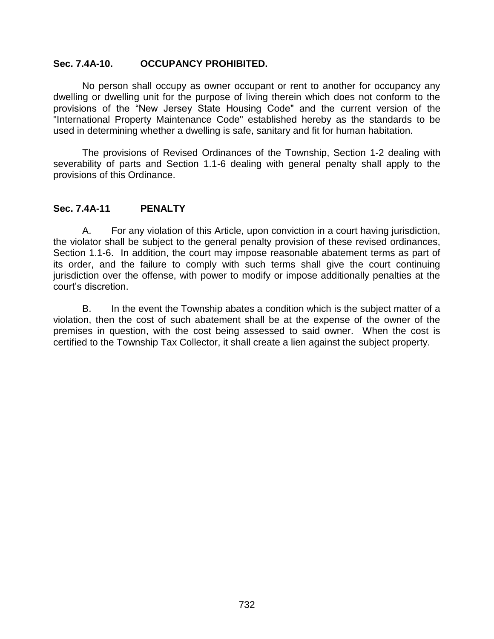#### **Sec. 7.4A-10. OCCUPANCY PROHIBITED.**

No person shall occupy as owner occupant or rent to another for occupancy any dwelling or dwelling unit for the purpose of living therein which does not conform to the provisions of the "New Jersey State Housing Code" and the current version of the "International Property Maintenance Code" established hereby as the standards to be used in determining whether a dwelling is safe, sanitary and fit for human habitation.

The provisions of Revised Ordinances of the Township, Section 1-2 dealing with severability of parts and Section 1.1-6 dealing with general penalty shall apply to the provisions of this Ordinance.

#### **Sec. 7.4A-11 PENALTY**

A. For any violation of this Article, upon conviction in a court having jurisdiction, the violator shall be subject to the general penalty provision of these revised ordinances, Section 1.1-6. In addition, the court may impose reasonable abatement terms as part of its order, and the failure to comply with such terms shall give the court continuing jurisdiction over the offense, with power to modify or impose additionally penalties at the court's discretion.

B. In the event the Township abates a condition which is the subject matter of a violation, then the cost of such abatement shall be at the expense of the owner of the premises in question, with the cost being assessed to said owner. When the cost is certified to the Township Tax Collector, it shall create a lien against the subject property.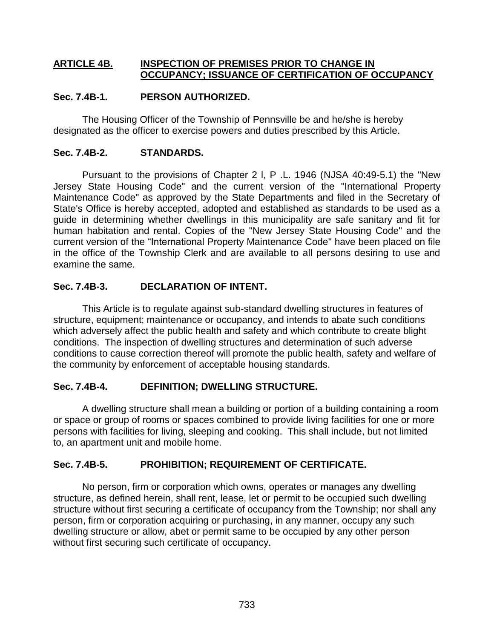## **ARTICLE 4B. INSPECTION OF PREMISES PRIOR TO CHANGE IN OCCUPANCY; ISSUANCE OF CERTIFICATION OF OCCUPANCY**

## **Sec. 7.4B-1. PERSON AUTHORIZED.**

The Housing Officer of the Township of Pennsville be and he/she is hereby designated as the officer to exercise powers and duties prescribed by this Article.

## **Sec. 7.4B-2. STANDARDS.**

Pursuant to the provisions of Chapter 2 l, P .L. 1946 (NJSA 40:49-5.1) the "New Jersey State Housing Code" and the current version of the "International Property Maintenance Code" as approved by the State Departments and filed in the Secretary of State's Office is hereby accepted, adopted and established as standards to be used as a guide in determining whether dwellings in this municipality are safe sanitary and fit for human habitation and rental. Copies of the "New Jersey State Housing Code" and the current version of the "International Property Maintenance Code" have been placed on file in the office of the Township Clerk and are available to all persons desiring to use and examine the same.

## **Sec. 7.4B-3. DECLARATION OF INTENT.**

This Article is to regulate against sub-standard dwelling structures in features of structure, equipment; maintenance or occupancy, and intends to abate such conditions which adversely affect the public health and safety and which contribute to create blight conditions. The inspection of dwelling structures and determination of such adverse conditions to cause correction thereof will promote the public health, safety and welfare of the community by enforcement of acceptable housing standards.

## **Sec. 7.4B-4. DEFINITION; DWELLING STRUCTURE.**

A dwelling structure shall mean a building or portion of a building containing a room or space or group of rooms or spaces combined to provide living facilities for one or more persons with facilities for living, sleeping and cooking. This shall include, but not limited to, an apartment unit and mobile home.

# **Sec. 7.4B-5. PROHIBITION; REQUIREMENT OF CERTIFICATE.**

No person, firm or corporation which owns, operates or manages any dwelling structure, as defined herein, shall rent, lease, let or permit to be occupied such dwelling structure without first securing a certificate of occupancy from the Township; nor shall any person, firm or corporation acquiring or purchasing, in any manner, occupy any such dwelling structure or allow, abet or permit same to be occupied by any other person without first securing such certificate of occupancy.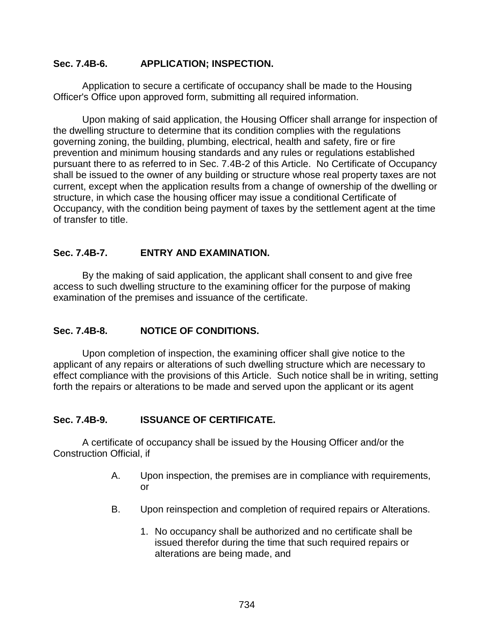## **Sec. 7.4B-6. APPLICATION; INSPECTION.**

Application to secure a certificate of occupancy shall be made to the Housing Officer's Office upon approved form, submitting all required information.

Upon making of said application, the Housing Officer shall arrange for inspection of the dwelling structure to determine that its condition complies with the regulations governing zoning, the building, plumbing, electrical, health and safety, fire or fire prevention and minimum housing standards and any rules or regulations established pursuant there to as referred to in Sec. 7.4B-2 of this Article. No Certificate of Occupancy shall be issued to the owner of any building or structure whose real property taxes are not current, except when the application results from a change of ownership of the dwelling or structure, in which case the housing officer may issue a conditional Certificate of Occupancy, with the condition being payment of taxes by the settlement agent at the time of transfer to title.

# **Sec. 7.4B-7. ENTRY AND EXAMINATION.**

By the making of said application, the applicant shall consent to and give free access to such dwelling structure to the examining officer for the purpose of making examination of the premises and issuance of the certificate.

## **Sec. 7.4B-8. NOTICE OF CONDITIONS.**

Upon completion of inspection, the examining officer shall give notice to the applicant of any repairs or alterations of such dwelling structure which are necessary to effect compliance with the provisions of this Article. Such notice shall be in writing, setting forth the repairs or alterations to be made and served upon the applicant or its agent

## **Sec. 7.4B-9. ISSUANCE OF CERTIFICATE.**

A certificate of occupancy shall be issued by the Housing Officer and/or the Construction Official, if

- A. Upon inspection, the premises are in compliance with requirements, or
- B. Upon reinspection and completion of required repairs or Alterations.
	- 1. No occupancy shall be authorized and no certificate shall be issued therefor during the time that such required repairs or alterations are being made, and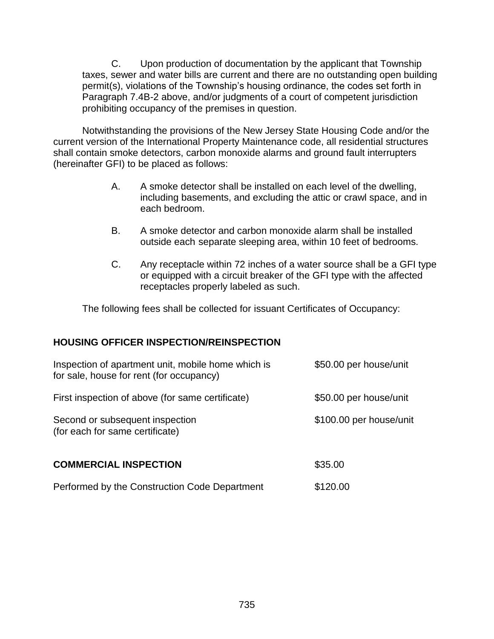C. Upon production of documentation by the applicant that Township taxes, sewer and water bills are current and there are no outstanding open building permit(s), violations of the Township's housing ordinance, the codes set forth in Paragraph 7.4B-2 above, and/or judgments of a court of competent jurisdiction prohibiting occupancy of the premises in question.

Notwithstanding the provisions of the New Jersey State Housing Code and/or the current version of the International Property Maintenance code, all residential structures shall contain smoke detectors, carbon monoxide alarms and ground fault interrupters (hereinafter GFI) to be placed as follows:

- A. A smoke detector shall be installed on each level of the dwelling, including basements, and excluding the attic or crawl space, and in each bedroom.
- B. A smoke detector and carbon monoxide alarm shall be installed outside each separate sleeping area, within 10 feet of bedrooms.
- C. Any receptacle within 72 inches of a water source shall be a GFI type or equipped with a circuit breaker of the GFI type with the affected receptacles properly labeled as such.

The following fees shall be collected for issuant Certificates of Occupancy:

# **HOUSING OFFICER INSPECTION/REINSPECTION**

| Inspection of apartment unit, mobile home which is<br>for sale, house for rent (for occupancy) | \$50.00 per house/unit  |
|------------------------------------------------------------------------------------------------|-------------------------|
| First inspection of above (for same certificate)                                               | \$50.00 per house/unit  |
| Second or subsequent inspection<br>(for each for same certificate)                             | \$100.00 per house/unit |
| <b>COMMERCIAL INSPECTION</b>                                                                   | \$35.00                 |
| Performed by the Construction Code Department                                                  | \$120.00                |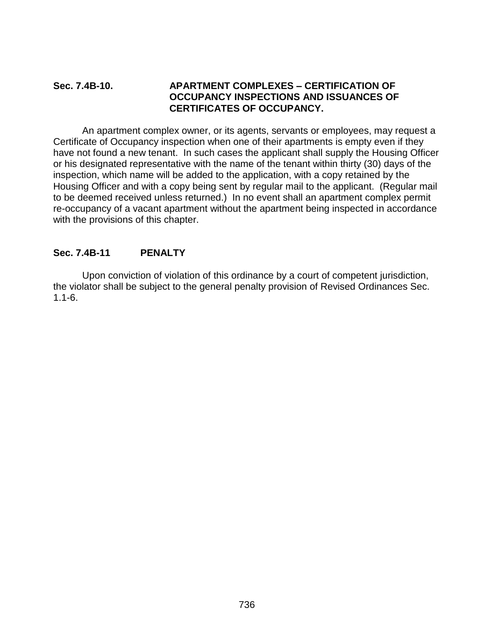## **Sec. 7.4B-10. APARTMENT COMPLEXES – CERTIFICATION OF OCCUPANCY INSPECTIONS AND ISSUANCES OF CERTIFICATES OF OCCUPANCY.**

An apartment complex owner, or its agents, servants or employees, may request a Certificate of Occupancy inspection when one of their apartments is empty even if they have not found a new tenant. In such cases the applicant shall supply the Housing Officer or his designated representative with the name of the tenant within thirty (30) days of the inspection, which name will be added to the application, with a copy retained by the Housing Officer and with a copy being sent by regular mail to the applicant. (Regular mail to be deemed received unless returned.) In no event shall an apartment complex permit re-occupancy of a vacant apartment without the apartment being inspected in accordance with the provisions of this chapter.

# **Sec. 7.4B-11 PENALTY**

Upon conviction of violation of this ordinance by a court of competent jurisdiction, the violator shall be subject to the general penalty provision of Revised Ordinances Sec. 1.1-6.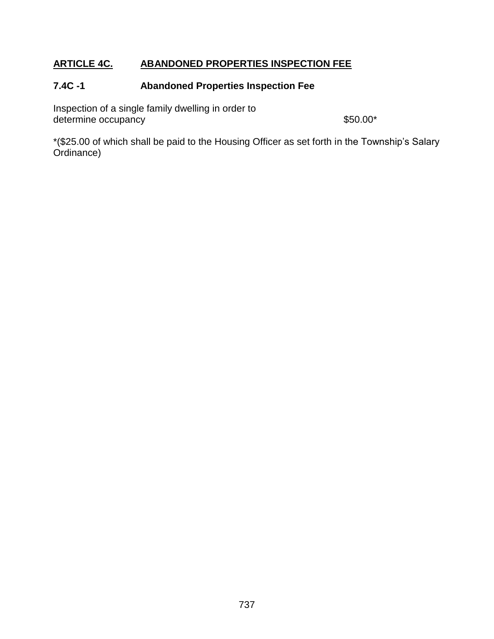# **ARTICLE 4C. ABANDONED PROPERTIES INSPECTION FEE**

# **7.4C -1 Abandoned Properties Inspection Fee**

Inspection of a single family dwelling in order to determine occupancy and the set of the set of the set of the set of the set of the set of the set of the set of the set of the set of the set of the set of the set of the set of the set of the set of the set of the set of

\*(\$25.00 of which shall be paid to the Housing Officer as set forth in the Township's Salary Ordinance)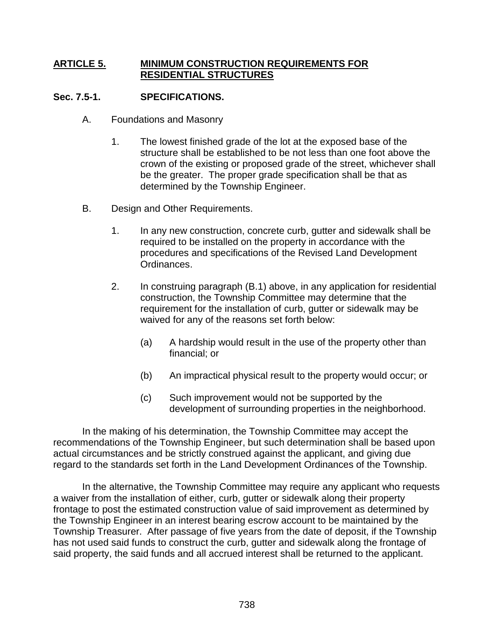## **ARTICLE 5. MINIMUM CONSTRUCTION REQUIREMENTS FOR RESIDENTIAL STRUCTURES**

## **Sec. 7.5-1. SPECIFICATIONS.**

- A. Foundations and Masonry
	- 1. The lowest finished grade of the lot at the exposed base of the structure shall be established to be not less than one foot above the crown of the existing or proposed grade of the street, whichever shall be the greater. The proper grade specification shall be that as determined by the Township Engineer.
- B. Design and Other Requirements.
	- 1. In any new construction, concrete curb, gutter and sidewalk shall be required to be installed on the property in accordance with the procedures and specifications of the Revised Land Development Ordinances.
	- 2. In construing paragraph (B.1) above, in any application for residential construction, the Township Committee may determine that the requirement for the installation of curb, gutter or sidewalk may be waived for any of the reasons set forth below:
		- (a) A hardship would result in the use of the property other than financial; or
		- (b) An impractical physical result to the property would occur; or
		- (c) Such improvement would not be supported by the development of surrounding properties in the neighborhood.

In the making of his determination, the Township Committee may accept the recommendations of the Township Engineer, but such determination shall be based upon actual circumstances and be strictly construed against the applicant, and giving due regard to the standards set forth in the Land Development Ordinances of the Township.

In the alternative, the Township Committee may require any applicant who requests a waiver from the installation of either, curb, gutter or sidewalk along their property frontage to post the estimated construction value of said improvement as determined by the Township Engineer in an interest bearing escrow account to be maintained by the Township Treasurer. After passage of five years from the date of deposit, if the Township has not used said funds to construct the curb, gutter and sidewalk along the frontage of said property, the said funds and all accrued interest shall be returned to the applicant.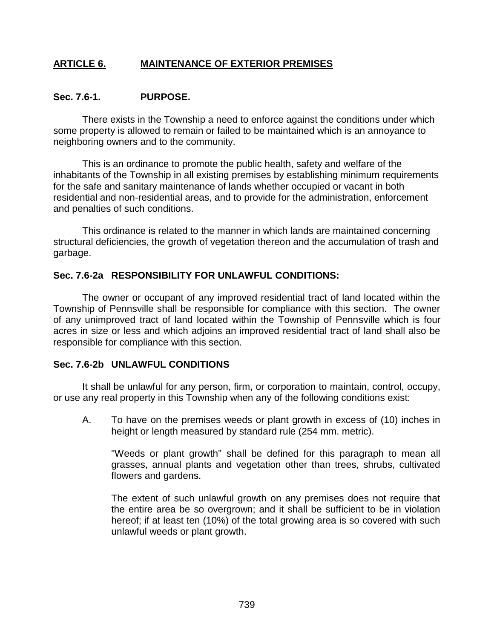# **ARTICLE 6. MAINTENANCE OF EXTERIOR PREMISES**

### **Sec. 7.6-1. PURPOSE.**

There exists in the Township a need to enforce against the conditions under which some property is allowed to remain or failed to be maintained which is an annoyance to neighboring owners and to the community.

This is an ordinance to promote the public health, safety and welfare of the inhabitants of the Township in all existing premises by establishing minimum requirements for the safe and sanitary maintenance of lands whether occupied or vacant in both residential and non-residential areas, and to provide for the administration, enforcement and penalties of such conditions.

This ordinance is related to the manner in which lands are maintained concerning structural deficiencies, the growth of vegetation thereon and the accumulation of trash and garbage.

## **Sec. 7.6-2a RESPONSIBILITY FOR UNLAWFUL CONDITIONS:**

The owner or occupant of any improved residential tract of land located within the Township of Pennsville shall be responsible for compliance with this section. The owner of any unimproved tract of land located within the Township of Pennsville which is four acres in size or less and which adjoins an improved residential tract of land shall also be responsible for compliance with this section.

## **Sec. 7.6-2b UNLAWFUL CONDITIONS**

It shall be unlawful for any person, firm, or corporation to maintain, control, occupy, or use any real property in this Township when any of the following conditions exist:

A. To have on the premises weeds or plant growth in excess of (10) inches in height or length measured by standard rule (254 mm. metric).

"Weeds or plant growth" shall be defined for this paragraph to mean all grasses, annual plants and vegetation other than trees, shrubs, cultivated flowers and gardens.

The extent of such unlawful growth on any premises does not require that the entire area be so overgrown; and it shall be sufficient to be in violation hereof; if at least ten (10%) of the total growing area is so covered with such unlawful weeds or plant growth.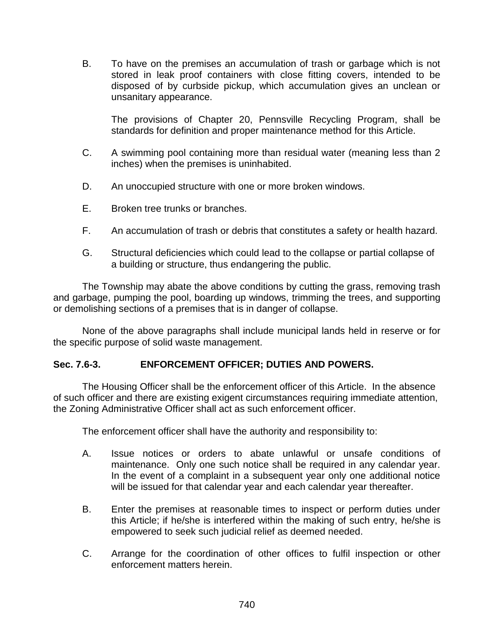B. To have on the premises an accumulation of trash or garbage which is not stored in leak proof containers with close fitting covers, intended to be disposed of by curbside pickup, which accumulation gives an unclean or unsanitary appearance.

The provisions of Chapter 20, Pennsville Recycling Program, shall be standards for definition and proper maintenance method for this Article.

- C. A swimming pool containing more than residual water (meaning less than 2 inches) when the premises is uninhabited.
- D. An unoccupied structure with one or more broken windows.
- E. Broken tree trunks or branches.
- F. An accumulation of trash or debris that constitutes a safety or health hazard.
- G. Structural deficiencies which could lead to the collapse or partial collapse of a building or structure, thus endangering the public.

The Township may abate the above conditions by cutting the grass, removing trash and garbage, pumping the pool, boarding up windows, trimming the trees, and supporting or demolishing sections of a premises that is in danger of collapse.

None of the above paragraphs shall include municipal lands held in reserve or for the specific purpose of solid waste management.

## **Sec. 7.6-3. ENFORCEMENT OFFICER; DUTIES AND POWERS.**

The Housing Officer shall be the enforcement officer of this Article. In the absence of such officer and there are existing exigent circumstances requiring immediate attention, the Zoning Administrative Officer shall act as such enforcement officer.

The enforcement officer shall have the authority and responsibility to:

- A. Issue notices or orders to abate unlawful or unsafe conditions of maintenance. Only one such notice shall be required in any calendar year. In the event of a complaint in a subsequent year only one additional notice will be issued for that calendar year and each calendar year thereafter.
- B. Enter the premises at reasonable times to inspect or perform duties under this Article; if he/she is interfered within the making of such entry, he/she is empowered to seek such judicial relief as deemed needed.
- C. Arrange for the coordination of other offices to fulfil inspection or other enforcement matters herein.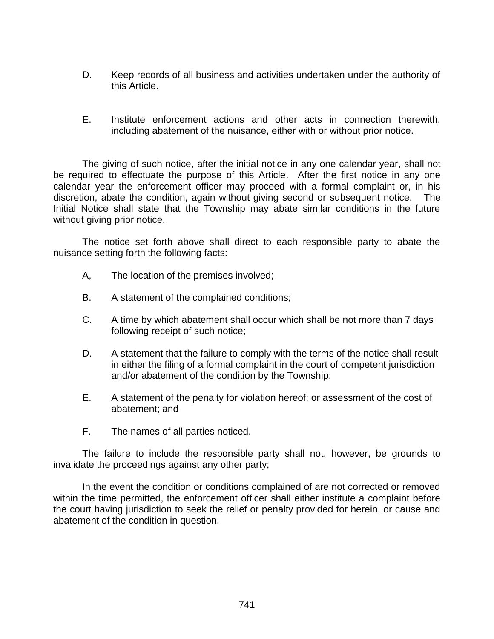- D. Keep records of all business and activities undertaken under the authority of this Article.
- E. Institute enforcement actions and other acts in connection therewith, including abatement of the nuisance, either with or without prior notice.

The giving of such notice, after the initial notice in any one calendar year, shall not be required to effectuate the purpose of this Article. After the first notice in any one calendar year the enforcement officer may proceed with a formal complaint or, in his discretion, abate the condition, again without giving second or subsequent notice. The Initial Notice shall state that the Township may abate similar conditions in the future without giving prior notice.

The notice set forth above shall direct to each responsible party to abate the nuisance setting forth the following facts:

- A, The location of the premises involved;
- B. A statement of the complained conditions;
- C. A time by which abatement shall occur which shall be not more than 7 days following receipt of such notice;
- D. A statement that the failure to comply with the terms of the notice shall result in either the filing of a formal complaint in the court of competent jurisdiction and/or abatement of the condition by the Township;
- E. A statement of the penalty for violation hereof; or assessment of the cost of abatement; and
- F. The names of all parties noticed.

The failure to include the responsible party shall not, however, be grounds to invalidate the proceedings against any other party;

In the event the condition or conditions complained of are not corrected or removed within the time permitted, the enforcement officer shall either institute a complaint before the court having jurisdiction to seek the relief or penalty provided for herein, or cause and abatement of the condition in question.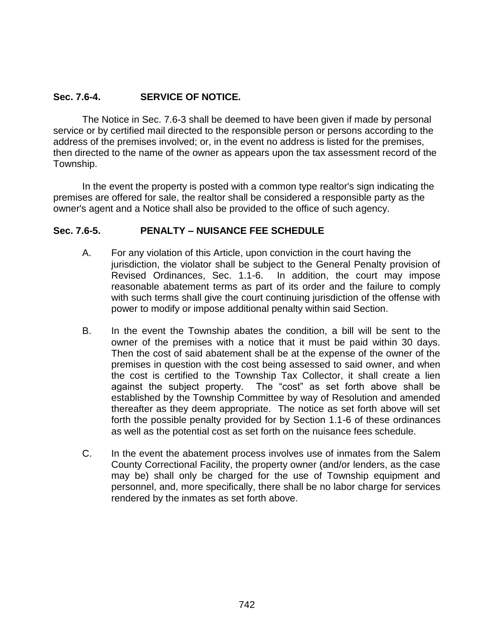## **Sec. 7.6-4. SERVICE OF NOTICE.**

The Notice in Sec. 7.6-3 shall be deemed to have been given if made by personal service or by certified mail directed to the responsible person or persons according to the address of the premises involved; or, in the event no address is listed for the premises, then directed to the name of the owner as appears upon the tax assessment record of the Township.

In the event the property is posted with a common type realtor's sign indicating the premises are offered for sale, the realtor shall be considered a responsible party as the owner's agent and a Notice shall also be provided to the office of such agency.

## **Sec. 7.6-5. PENALTY – NUISANCE FEE SCHEDULE**

- A. For any violation of this Article, upon conviction in the court having the jurisdiction, the violator shall be subject to the General Penalty provision of Revised Ordinances, Sec. 1.1-6. In addition, the court may impose reasonable abatement terms as part of its order and the failure to comply with such terms shall give the court continuing jurisdiction of the offense with power to modify or impose additional penalty within said Section.
- B. In the event the Township abates the condition, a bill will be sent to the owner of the premises with a notice that it must be paid within 30 days. Then the cost of said abatement shall be at the expense of the owner of the premises in question with the cost being assessed to said owner, and when the cost is certified to the Township Tax Collector, it shall create a lien against the subject property. The "cost" as set forth above shall be established by the Township Committee by way of Resolution and amended thereafter as they deem appropriate. The notice as set forth above will set forth the possible penalty provided for by Section 1.1-6 of these ordinances as well as the potential cost as set forth on the nuisance fees schedule.
- C. In the event the abatement process involves use of inmates from the Salem County Correctional Facility, the property owner (and/or lenders, as the case may be) shall only be charged for the use of Township equipment and personnel, and, more specifically, there shall be no labor charge for services rendered by the inmates as set forth above.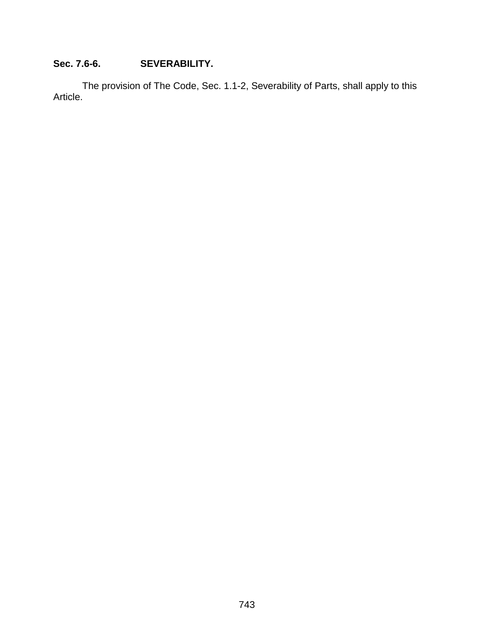# **Sec. 7.6-6. SEVERABILITY.**

The provision of The Code, Sec. 1.1-2, Severability of Parts, shall apply to this Article.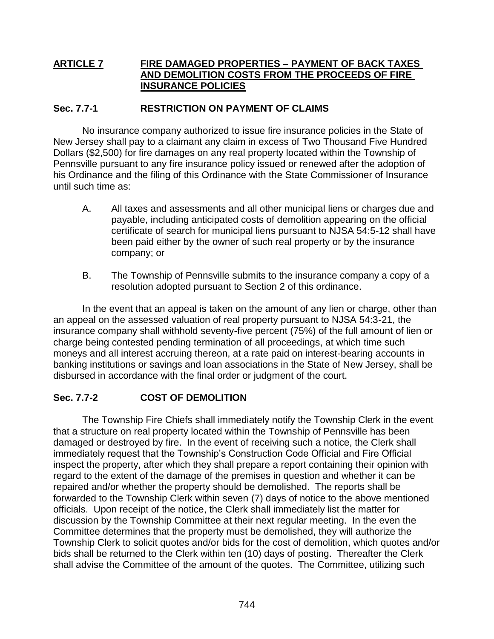# **ARTICLE 7 FIRE DAMAGED PROPERTIES – PAYMENT OF BACK TAXES AND DEMOLITION COSTS FROM THE PROCEEDS OF FIRE INSURANCE POLICIES**

## **Sec. 7.7-1 RESTRICTION ON PAYMENT OF CLAIMS**

No insurance company authorized to issue fire insurance policies in the State of New Jersey shall pay to a claimant any claim in excess of Two Thousand Five Hundred Dollars (\$2,500) for fire damages on any real property located within the Township of Pennsville pursuant to any fire insurance policy issued or renewed after the adoption of his Ordinance and the filing of this Ordinance with the State Commissioner of Insurance until such time as:

- A. All taxes and assessments and all other municipal liens or charges due and payable, including anticipated costs of demolition appearing on the official certificate of search for municipal liens pursuant to NJSA 54:5-12 shall have been paid either by the owner of such real property or by the insurance company; or
- B. The Township of Pennsville submits to the insurance company a copy of a resolution adopted pursuant to Section 2 of this ordinance.

In the event that an appeal is taken on the amount of any lien or charge, other than an appeal on the assessed valuation of real property pursuant to NJSA 54:3-21, the insurance company shall withhold seventy-five percent (75%) of the full amount of lien or charge being contested pending termination of all proceedings, at which time such moneys and all interest accruing thereon, at a rate paid on interest-bearing accounts in banking institutions or savings and loan associations in the State of New Jersey, shall be disbursed in accordance with the final order or judgment of the court.

# **Sec. 7.7-2 COST OF DEMOLITION**

The Township Fire Chiefs shall immediately notify the Township Clerk in the event that a structure on real property located within the Township of Pennsville has been damaged or destroyed by fire. In the event of receiving such a notice, the Clerk shall immediately request that the Township's Construction Code Official and Fire Official inspect the property, after which they shall prepare a report containing their opinion with regard to the extent of the damage of the premises in question and whether it can be repaired and/or whether the property should be demolished. The reports shall be forwarded to the Township Clerk within seven (7) days of notice to the above mentioned officials. Upon receipt of the notice, the Clerk shall immediately list the matter for discussion by the Township Committee at their next regular meeting. In the even the Committee determines that the property must be demolished, they will authorize the Township Clerk to solicit quotes and/or bids for the cost of demolition, which quotes and/or bids shall be returned to the Clerk within ten (10) days of posting. Thereafter the Clerk shall advise the Committee of the amount of the quotes. The Committee, utilizing such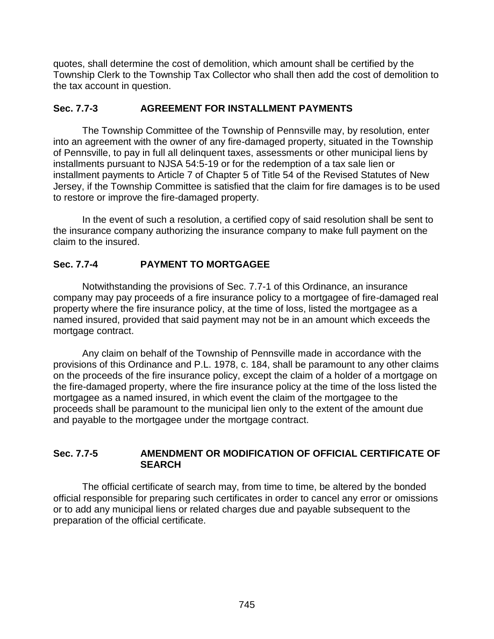quotes, shall determine the cost of demolition, which amount shall be certified by the Township Clerk to the Township Tax Collector who shall then add the cost of demolition to the tax account in question.

# **Sec. 7.7-3 AGREEMENT FOR INSTALLMENT PAYMENTS**

The Township Committee of the Township of Pennsville may, by resolution, enter into an agreement with the owner of any fire-damaged property, situated in the Township of Pennsville, to pay in full all delinquent taxes, assessments or other municipal liens by installments pursuant to NJSA 54:5-19 or for the redemption of a tax sale lien or installment payments to Article 7 of Chapter 5 of Title 54 of the Revised Statutes of New Jersey, if the Township Committee is satisfied that the claim for fire damages is to be used to restore or improve the fire-damaged property.

In the event of such a resolution, a certified copy of said resolution shall be sent to the insurance company authorizing the insurance company to make full payment on the claim to the insured.

# **Sec. 7.7-4 PAYMENT TO MORTGAGEE**

Notwithstanding the provisions of Sec. 7.7-1 of this Ordinance, an insurance company may pay proceeds of a fire insurance policy to a mortgagee of fire-damaged real property where the fire insurance policy, at the time of loss, listed the mortgagee as a named insured, provided that said payment may not be in an amount which exceeds the mortgage contract.

Any claim on behalf of the Township of Pennsville made in accordance with the provisions of this Ordinance and P.L. 1978, c. 184, shall be paramount to any other claims on the proceeds of the fire insurance policy, except the claim of a holder of a mortgage on the fire-damaged property, where the fire insurance policy at the time of the loss listed the mortgagee as a named insured, in which event the claim of the mortgagee to the proceeds shall be paramount to the municipal lien only to the extent of the amount due and payable to the mortgagee under the mortgage contract.

## **Sec. 7.7-5 AMENDMENT OR MODIFICATION OF OFFICIAL CERTIFICATE OF SEARCH**

The official certificate of search may, from time to time, be altered by the bonded official responsible for preparing such certificates in order to cancel any error or omissions or to add any municipal liens or related charges due and payable subsequent to the preparation of the official certificate.